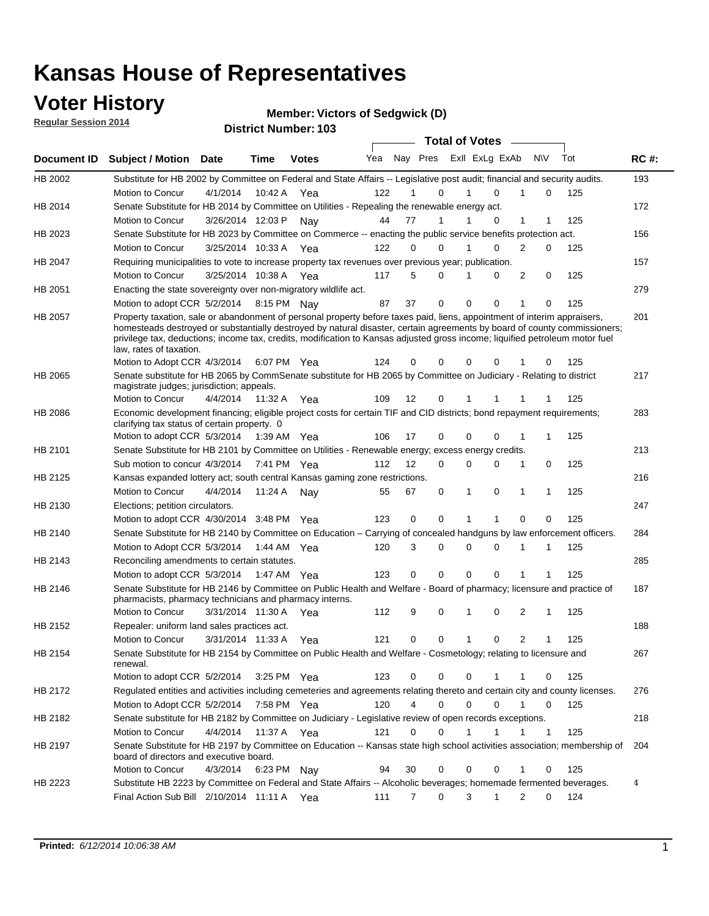### **Voter History**

**Regular Session 2014**

**Member: Victors of Sedgwick (D)** 

|                |                                                                                                                                                                                                                                                                                                                                                                                                                  |                      |             |               |     |    |                             | <b>Total of Votes</b> |          |              |   |              |     |             |
|----------------|------------------------------------------------------------------------------------------------------------------------------------------------------------------------------------------------------------------------------------------------------------------------------------------------------------------------------------------------------------------------------------------------------------------|----------------------|-------------|---------------|-----|----|-----------------------------|-----------------------|----------|--------------|---|--------------|-----|-------------|
| Document ID    | <b>Subject / Motion Date</b>                                                                                                                                                                                                                                                                                                                                                                                     |                      | <b>Time</b> | <b>Votes</b>  | Yea |    | Nay Pres ExII ExLg ExAb N\V |                       |          |              |   |              | Tot | <b>RC#:</b> |
| HB 2002        | Substitute for HB 2002 by Committee on Federal and State Affairs -- Legislative post audit; financial and security audits.                                                                                                                                                                                                                                                                                       |                      |             |               |     |    |                             |                       |          |              |   |              |     | 193         |
|                | Motion to Concur                                                                                                                                                                                                                                                                                                                                                                                                 | 4/1/2014             | 10:42 A     | Yea           | 122 |    | $\Omega$                    |                       | 1        | $\Omega$     |   | $\Omega$     | 125 |             |
| HB 2014        | Senate Substitute for HB 2014 by Committee on Utilities - Repealing the renewable energy act.                                                                                                                                                                                                                                                                                                                    |                      |             |               |     |    |                             |                       |          |              |   |              |     | 172         |
|                | Motion to Concur                                                                                                                                                                                                                                                                                                                                                                                                 | 3/26/2014 12:03 P    |             | Nav           | 44  | 77 | 1                           |                       |          | $\Omega$     | 1 |              | 125 |             |
| HB 2023        | Senate Substitute for HB 2023 by Committee on Commerce -- enacting the public service benefits protection act.                                                                                                                                                                                                                                                                                                   |                      |             |               |     |    |                             |                       |          |              |   |              |     | 156         |
|                | Motion to Concur                                                                                                                                                                                                                                                                                                                                                                                                 | 3/25/2014 10:33 A    |             | Yea           | 122 |    | $\Omega$<br>$\Omega$        |                       | 1        | $\Omega$     | 2 | $\Omega$     | 125 |             |
| HB 2047        | Requiring municipalities to vote to increase property tax revenues over previous year; publication.                                                                                                                                                                                                                                                                                                              |                      |             |               |     |    |                             |                       |          |              |   |              |     | 157         |
|                | Motion to Concur                                                                                                                                                                                                                                                                                                                                                                                                 | 3/25/2014 10:38 A    |             | Yea           | 117 |    | 5<br>$\Omega$               |                       | 1        | $\Omega$     | 2 | 0            | 125 |             |
| HB 2051        | Enacting the state sovereignty over non-migratory wildlife act.                                                                                                                                                                                                                                                                                                                                                  |                      |             |               |     |    |                             |                       |          |              |   |              |     | 279         |
|                | Motion to adopt CCR 5/2/2014 8:15 PM Nav                                                                                                                                                                                                                                                                                                                                                                         |                      |             |               | 87  | 37 | $\mathbf 0$                 |                       | $\Omega$ | $\Omega$     | 1 | $\Omega$     | 125 |             |
| HB 2057        | Property taxation, sale or abandonment of personal property before taxes paid, liens, appointment of interim appraisers,<br>homesteads destroyed or substantially destroyed by natural disaster, certain agreements by board of county commissioners;<br>privilege tax, deductions; income tax, credits, modification to Kansas adjusted gross income; liquified petroleum motor fuel<br>law, rates of taxation. |                      |             |               |     |    |                             |                       |          |              |   |              |     | 201         |
|                | Motion to Adopt CCR 4/3/2014                                                                                                                                                                                                                                                                                                                                                                                     |                      |             | 6:07 PM Yea   | 124 |    | 0<br>0                      |                       | 0        | 0            |   | 0            | 125 |             |
| <b>HB 2065</b> | Senate substitute for HB 2065 by CommSenate substitute for HB 2065 by Committee on Judiciary - Relating to district<br>magistrate judges; jurisdiction; appeals.                                                                                                                                                                                                                                                 |                      |             |               |     |    |                             |                       |          |              |   |              |     | 217         |
|                | Motion to Concur                                                                                                                                                                                                                                                                                                                                                                                                 | 4/4/2014             | 11:32 A     | Yea           | 109 | 12 | 0                           |                       | 1        |              |   |              | 125 |             |
| <b>HB 2086</b> | Economic development financing; eligible project costs for certain TIF and CID districts; bond repayment requirements;<br>clarifying tax status of certain property. 0                                                                                                                                                                                                                                           |                      |             |               |     |    |                             |                       |          |              |   |              |     | 283         |
|                | Motion to adopt CCR 5/3/2014 1:39 AM Yea                                                                                                                                                                                                                                                                                                                                                                         |                      |             |               | 106 | 17 | 0                           |                       | 0        | $\Omega$     | 1 | 1            | 125 |             |
| HB 2101        | Senate Substitute for HB 2101 by Committee on Utilities - Renewable energy; excess energy credits.                                                                                                                                                                                                                                                                                                               |                      |             |               |     |    |                             |                       |          |              |   |              |     | 213         |
|                | Sub motion to concur 4/3/2014                                                                                                                                                                                                                                                                                                                                                                                    |                      |             | 7:41 PM Yea   | 112 | 12 |                             | 0                     | 0        | 0            | 1 | 0            | 125 |             |
| HB 2125        | Kansas expanded lottery act; south central Kansas gaming zone restrictions.                                                                                                                                                                                                                                                                                                                                      |                      |             |               |     |    |                             |                       |          |              |   |              |     | 216         |
|                | Motion to Concur                                                                                                                                                                                                                                                                                                                                                                                                 | 4/4/2014             | 11:24 A     | Nav           | 55  | 67 |                             | 0                     | 1        | 0            | 1 | 1            | 125 |             |
| HB 2130        | Elections; petition circulators.                                                                                                                                                                                                                                                                                                                                                                                 |                      |             |               |     |    |                             |                       |          |              |   |              |     | 247         |
|                | Motion to adopt CCR 4/30/2014 3:48 PM Yea                                                                                                                                                                                                                                                                                                                                                                        |                      |             |               | 123 |    | $\mathbf 0$<br>0            |                       | 1        | 1            | 0 | 0            | 125 |             |
| HB 2140        | Senate Substitute for HB 2140 by Committee on Education – Carrying of concealed handguns by law enforcement officers.                                                                                                                                                                                                                                                                                            |                      |             |               |     |    |                             |                       |          |              |   |              |     | 284         |
|                | Motion to Adopt CCR 5/3/2014 1:44 AM Yea                                                                                                                                                                                                                                                                                                                                                                         |                      |             |               | 120 |    | 3<br>0                      |                       | 0        | 0            | 1 | 1            | 125 |             |
| HB 2143        | Reconciling amendments to certain statutes.                                                                                                                                                                                                                                                                                                                                                                      |                      |             |               |     |    |                             |                       |          |              |   |              |     | 285         |
|                | Motion to adopt CCR 5/3/2014 1:47 AM Yea                                                                                                                                                                                                                                                                                                                                                                         |                      |             |               | 123 |    | 0<br>0                      |                       | 0        | 0            | 1 | 1            | 125 |             |
| HB 2146        | Senate Substitute for HB 2146 by Committee on Public Health and Welfare - Board of pharmacy; licensure and practice of<br>pharmacists, pharmacy technicians and pharmacy interns.                                                                                                                                                                                                                                |                      |             |               |     |    |                             |                       |          |              |   |              |     | 187         |
|                | Motion to Concur                                                                                                                                                                                                                                                                                                                                                                                                 | 3/31/2014 11:30 A    |             | Yea           | 112 |    | 9<br>0                      |                       | 1        | 0            | 2 | 1            | 125 |             |
| HB 2152        | Repealer: uniform land sales practices act.                                                                                                                                                                                                                                                                                                                                                                      |                      |             |               |     |    |                             |                       |          |              |   |              |     | 188         |
|                | <b>Motion to Concur</b>                                                                                                                                                                                                                                                                                                                                                                                          | 3/31/2014 11:33 A    |             | Yea           | 121 |    | 0<br>0                      |                       | 1        | 0            | 2 | $\mathbf 1$  | 125 |             |
| HB 2154        | Senate Substitute for HB 2154 by Committee on Public Health and Welfare - Cosmetology; relating to licensure and<br>renewal.                                                                                                                                                                                                                                                                                     |                      |             |               |     |    |                             |                       |          |              |   |              |     | 267         |
|                | Motion to adopt CCR 5/2/2014                                                                                                                                                                                                                                                                                                                                                                                     |                      |             | $3:25$ PM Yea | 123 |    | 0<br>0                      |                       | 0        |              | 1 | 0            | 125 |             |
| HB 2172        | Regulated entities and activities including cemeteries and agreements relating thereto and certain city and county licenses.                                                                                                                                                                                                                                                                                     |                      |             |               |     |    |                             |                       |          |              |   |              |     | 276         |
|                | Motion to Adopt CCR 5/2/2014                                                                                                                                                                                                                                                                                                                                                                                     |                      |             | 7:58 PM Yea   | 120 |    | $\overline{4}$              | $\mathbf 0$           | 0        | $\mathbf 0$  | 1 | 0            | 125 |             |
| HB 2182        | Senate substitute for HB 2182 by Committee on Judiciary - Legislative review of open records exceptions.                                                                                                                                                                                                                                                                                                         |                      |             |               |     |    |                             |                       |          |              |   |              |     | 218         |
|                | Motion to Concur                                                                                                                                                                                                                                                                                                                                                                                                 | 4/4/2014 11:37 A Yea |             |               | 121 |    | $\mathbf 0$                 | 0                     | 1        | $\mathbf{1}$ | 1 | $\mathbf{1}$ | 125 |             |
| HB 2197        | Senate Substitute for HB 2197 by Committee on Education -- Kansas state high school activities association; membership of<br>board of directors and executive board.                                                                                                                                                                                                                                             |                      |             |               |     |    |                             |                       |          |              |   |              |     | 204         |
|                | Motion to Concur                                                                                                                                                                                                                                                                                                                                                                                                 | 4/3/2014             |             | 6:23 PM Nay   | 94  | 30 |                             | 0                     | 0        | 0            | 1 | 0            | 125 |             |
| HB 2223        | Substitute HB 2223 by Committee on Federal and State Affairs -- Alcoholic beverages; homemade fermented beverages.                                                                                                                                                                                                                                                                                               |                      |             |               |     |    |                             |                       |          |              |   |              |     | 4           |
|                | Final Action Sub Bill 2/10/2014 11:11 A Yea                                                                                                                                                                                                                                                                                                                                                                      |                      |             |               | 111 |    | 7                           | 0                     | 3        | 1            | 2 | 0            | 124 |             |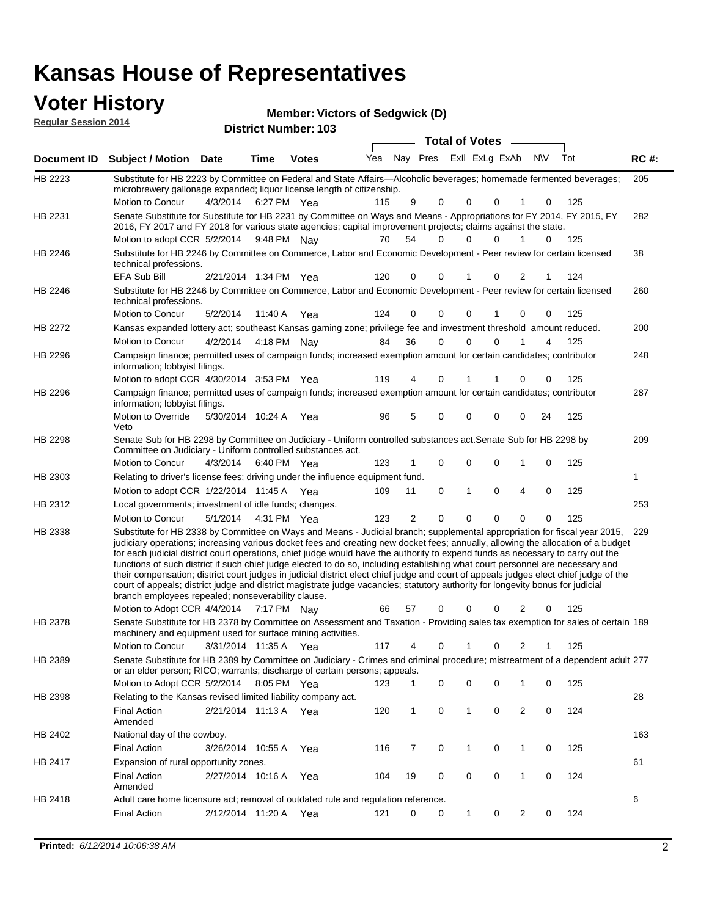#### **Voter History**

| <b>Regular Session 2014</b> |  |
|-----------------------------|--|

| <b>Member: Victors of Sedgwick (D)</b> |  |
|----------------------------------------|--|
|----------------------------------------|--|

| noguiai ocoololi zvin |                                                                                                                                                                                                                                                                                                                                                                                                                                                                                                                                                                                                                                                                                                                                                                                                                                                                                                     |                       |             | <b>District Number: 103</b> |     |          |          |                       |                |                  |     |              |
|-----------------------|-----------------------------------------------------------------------------------------------------------------------------------------------------------------------------------------------------------------------------------------------------------------------------------------------------------------------------------------------------------------------------------------------------------------------------------------------------------------------------------------------------------------------------------------------------------------------------------------------------------------------------------------------------------------------------------------------------------------------------------------------------------------------------------------------------------------------------------------------------------------------------------------------------|-----------------------|-------------|-----------------------------|-----|----------|----------|-----------------------|----------------|------------------|-----|--------------|
|                       |                                                                                                                                                                                                                                                                                                                                                                                                                                                                                                                                                                                                                                                                                                                                                                                                                                                                                                     |                       |             |                             |     |          |          | <b>Total of Votes</b> |                |                  |     |              |
| <b>Document ID</b>    | <b>Subject / Motion Date</b>                                                                                                                                                                                                                                                                                                                                                                                                                                                                                                                                                                                                                                                                                                                                                                                                                                                                        |                       | <b>Time</b> | <b>Votes</b>                | Yea | Nay Pres |          |                       | Exll ExLg ExAb | <b>NV</b>        | Tot | <b>RC#:</b>  |
| HB 2223               | Substitute for HB 2223 by Committee on Federal and State Affairs—Alcoholic beverages; homemade fermented beverages;<br>microbrewery gallonage expanded; liquor license length of citizenship.                                                                                                                                                                                                                                                                                                                                                                                                                                                                                                                                                                                                                                                                                                       |                       |             |                             |     |          |          |                       |                |                  |     | 205          |
|                       | Motion to Concur                                                                                                                                                                                                                                                                                                                                                                                                                                                                                                                                                                                                                                                                                                                                                                                                                                                                                    | 4/3/2014              |             | 6:27 PM Yea                 | 115 | 9        | 0        | 0                     | 0              | 0                | 125 |              |
| HB 2231               | Senate Substitute for Substitute for HB 2231 by Committee on Ways and Means - Appropriations for FY 2014, FY 2015, FY<br>2016, FY 2017 and FY 2018 for various state agencies; capital improvement projects; claims against the state.                                                                                                                                                                                                                                                                                                                                                                                                                                                                                                                                                                                                                                                              |                       |             |                             |     |          |          |                       |                |                  |     | 282          |
|                       | Motion to adopt CCR 5/2/2014                                                                                                                                                                                                                                                                                                                                                                                                                                                                                                                                                                                                                                                                                                                                                                                                                                                                        |                       |             | 9:48 PM Nay                 | 70  | 54       | 0        | 0                     | $\Omega$       | 1<br>0           | 125 |              |
| HB 2246               | Substitute for HB 2246 by Committee on Commerce, Labor and Economic Development - Peer review for certain licensed<br>technical professions.                                                                                                                                                                                                                                                                                                                                                                                                                                                                                                                                                                                                                                                                                                                                                        |                       |             |                             |     |          |          |                       |                |                  |     | 38           |
|                       | EFA Sub Bill                                                                                                                                                                                                                                                                                                                                                                                                                                                                                                                                                                                                                                                                                                                                                                                                                                                                                        | 2/21/2014 1:34 PM Yea |             |                             | 120 | 0        | 0        |                       | 0              | 2                | 124 |              |
| HB 2246               | Substitute for HB 2246 by Committee on Commerce, Labor and Economic Development - Peer review for certain licensed<br>technical professions.                                                                                                                                                                                                                                                                                                                                                                                                                                                                                                                                                                                                                                                                                                                                                        |                       |             |                             |     |          |          |                       |                |                  |     | 260          |
|                       | Motion to Concur                                                                                                                                                                                                                                                                                                                                                                                                                                                                                                                                                                                                                                                                                                                                                                                                                                                                                    | 5/2/2014              | 11:40 A     | Yea                         | 124 | 0        | 0        | 0                     |                | 0<br>0           | 125 |              |
| HB 2272               | Kansas expanded lottery act; southeast Kansas gaming zone; privilege fee and investment threshold amount reduced.                                                                                                                                                                                                                                                                                                                                                                                                                                                                                                                                                                                                                                                                                                                                                                                   |                       |             |                             |     |          |          |                       |                |                  |     | 200          |
|                       | Motion to Concur                                                                                                                                                                                                                                                                                                                                                                                                                                                                                                                                                                                                                                                                                                                                                                                                                                                                                    | 4/2/2014              |             | 4:18 PM Nay                 | 84  | 36       | 0        | 0                     | $\Omega$       | 4                | 125 |              |
| HB 2296               | Campaign finance; permitted uses of campaign funds; increased exemption amount for certain candidates; contributor<br>information; lobbyist filings.                                                                                                                                                                                                                                                                                                                                                                                                                                                                                                                                                                                                                                                                                                                                                |                       |             |                             |     |          |          |                       |                |                  |     | 248          |
|                       | Motion to adopt CCR 4/30/2014 3:53 PM Yea                                                                                                                                                                                                                                                                                                                                                                                                                                                                                                                                                                                                                                                                                                                                                                                                                                                           |                       |             |                             | 119 | 4        | 0        | 1                     | 1              | 0<br>0           | 125 |              |
| HB 2296               | Campaign finance; permitted uses of campaign funds; increased exemption amount for certain candidates; contributor<br>information; lobbyist filings.                                                                                                                                                                                                                                                                                                                                                                                                                                                                                                                                                                                                                                                                                                                                                |                       |             |                             |     |          |          |                       |                |                  |     | 287          |
|                       | Motion to Override<br>Veto                                                                                                                                                                                                                                                                                                                                                                                                                                                                                                                                                                                                                                                                                                                                                                                                                                                                          | 5/30/2014 10:24 A     |             | Yea                         | 96  | 5        | 0        | 0                     | 0              | 24<br>0          | 125 |              |
| HB 2298               | Senate Sub for HB 2298 by Committee on Judiciary - Uniform controlled substances act. Senate Sub for HB 2298 by<br>Committee on Judiciary - Uniform controlled substances act.                                                                                                                                                                                                                                                                                                                                                                                                                                                                                                                                                                                                                                                                                                                      |                       |             |                             |     |          |          |                       |                |                  |     | 209          |
|                       | Motion to Concur                                                                                                                                                                                                                                                                                                                                                                                                                                                                                                                                                                                                                                                                                                                                                                                                                                                                                    | 4/3/2014              |             | 6:40 PM Yea                 | 123 |          | 0        | $\mathbf 0$           | 0              | 1<br>0           | 125 |              |
| HB 2303               | Relating to driver's license fees; driving under the influence equipment fund.                                                                                                                                                                                                                                                                                                                                                                                                                                                                                                                                                                                                                                                                                                                                                                                                                      |                       |             |                             |     |          |          |                       |                |                  |     | $\mathbf{1}$ |
|                       | Motion to adopt CCR 1/22/2014 11:45 A Yea                                                                                                                                                                                                                                                                                                                                                                                                                                                                                                                                                                                                                                                                                                                                                                                                                                                           |                       |             |                             | 109 | 11       | 0        | $\mathbf{1}$          | 0              | 0<br>4           | 125 |              |
| HB 2312               | Local governments; investment of idle funds; changes.                                                                                                                                                                                                                                                                                                                                                                                                                                                                                                                                                                                                                                                                                                                                                                                                                                               |                       |             |                             |     |          |          |                       |                |                  |     | 253          |
|                       | Motion to Concur                                                                                                                                                                                                                                                                                                                                                                                                                                                                                                                                                                                                                                                                                                                                                                                                                                                                                    | 5/1/2014              |             | 4:31 PM Yea                 | 123 | 2        | $\Omega$ | $\Omega$              | $\Omega$       | $\Omega$<br>0    | 125 |              |
| HB 2338               | Substitute for HB 2338 by Committee on Ways and Means - Judicial branch; supplemental appropriation for fiscal year 2015,<br>judiciary operations; increasing various docket fees and creating new docket fees; annually, allowing the allocation of a budget<br>for each judicial district court operations, chief judge would have the authority to expend funds as necessary to carry out the<br>functions of such district if such chief judge elected to do so, including establishing what court personnel are necessary and<br>their compensation; district court judges in judicial district elect chief judge and court of appeals judges elect chief judge of the<br>court of appeals; district judge and district magistrate judge vacancies; statutory authority for longevity bonus for judicial<br>branch employees repealed; nonseverability clause.<br>Motion to Adopt CCR 4/4/2014 |                       |             | 7:17 PM Nay                 | 66  | 57       | 0        | 0                     | 0              | 2<br>0           | 125 | 229          |
| HB 2378               | Senate Substitute for HB 2378 by Committee on Assessment and Taxation - Providing sales tax exemption for sales of certain 189<br>machinery and equipment used for surface mining activities.                                                                                                                                                                                                                                                                                                                                                                                                                                                                                                                                                                                                                                                                                                       |                       |             |                             |     |          |          |                       |                |                  |     |              |
|                       | Motion to Concur                                                                                                                                                                                                                                                                                                                                                                                                                                                                                                                                                                                                                                                                                                                                                                                                                                                                                    | 3/31/2014 11:35 A     |             | Yea                         | 117 | 4        | 0        | 1                     | 0              | 2                | 125 |              |
| HB 2389               | Senate Substitute for HB 2389 by Committee on Judiciary - Crimes and criminal procedure; mistreatment of a dependent adult 277                                                                                                                                                                                                                                                                                                                                                                                                                                                                                                                                                                                                                                                                                                                                                                      |                       |             |                             |     |          |          |                       |                |                  |     |              |
|                       | or an elder person; RICO; warrants; discharge of certain persons; appeals.                                                                                                                                                                                                                                                                                                                                                                                                                                                                                                                                                                                                                                                                                                                                                                                                                          |                       |             |                             |     |          |          |                       |                |                  |     |              |
|                       | Motion to Adopt CCR 5/2/2014                                                                                                                                                                                                                                                                                                                                                                                                                                                                                                                                                                                                                                                                                                                                                                                                                                                                        |                       |             | 8:05 PM Yea                 | 123 | 1        | 0        | 0                     | 0              | 0<br>1           | 125 |              |
| HB 2398               | Relating to the Kansas revised limited liability company act.                                                                                                                                                                                                                                                                                                                                                                                                                                                                                                                                                                                                                                                                                                                                                                                                                                       |                       |             |                             |     |          |          |                       |                |                  |     | 28           |
|                       | Final Action<br>Amended                                                                                                                                                                                                                                                                                                                                                                                                                                                                                                                                                                                                                                                                                                                                                                                                                                                                             | 2/21/2014 11:13 A Yea |             |                             | 120 | 1        | 0        | 1                     | 0              | 2<br>0           | 124 |              |
| HB 2402               | National day of the cowboy.                                                                                                                                                                                                                                                                                                                                                                                                                                                                                                                                                                                                                                                                                                                                                                                                                                                                         |                       |             |                             |     |          |          |                       |                |                  |     | 163          |
|                       | <b>Final Action</b>                                                                                                                                                                                                                                                                                                                                                                                                                                                                                                                                                                                                                                                                                                                                                                                                                                                                                 | 3/26/2014 10:55 A     |             | Yea                         | 116 | 7        | 0        | $\mathbf{1}$          | 0              | $\mathbf 1$<br>0 | 125 |              |
| HB 2417               | Expansion of rural opportunity zones.                                                                                                                                                                                                                                                                                                                                                                                                                                                                                                                                                                                                                                                                                                                                                                                                                                                               |                       |             |                             |     |          |          |                       |                |                  |     | 61           |
|                       | <b>Final Action</b><br>Amended                                                                                                                                                                                                                                                                                                                                                                                                                                                                                                                                                                                                                                                                                                                                                                                                                                                                      | 2/27/2014 10:16 A     |             | Yea                         | 104 | 19       | 0        | 0                     | 0              | 0<br>$\mathbf 1$ | 124 |              |
| HB 2418               | Adult care home licensure act; removal of outdated rule and regulation reference.                                                                                                                                                                                                                                                                                                                                                                                                                                                                                                                                                                                                                                                                                                                                                                                                                   |                       |             |                             |     |          |          |                       |                |                  |     | 6            |
|                       | <b>Final Action</b>                                                                                                                                                                                                                                                                                                                                                                                                                                                                                                                                                                                                                                                                                                                                                                                                                                                                                 | 2/12/2014 11:20 A Yea |             |                             | 121 | 0        | 0        | 1                     | 0              | 2<br>0           | 124 |              |
|                       |                                                                                                                                                                                                                                                                                                                                                                                                                                                                                                                                                                                                                                                                                                                                                                                                                                                                                                     |                       |             |                             |     |          |          |                       |                |                  |     |              |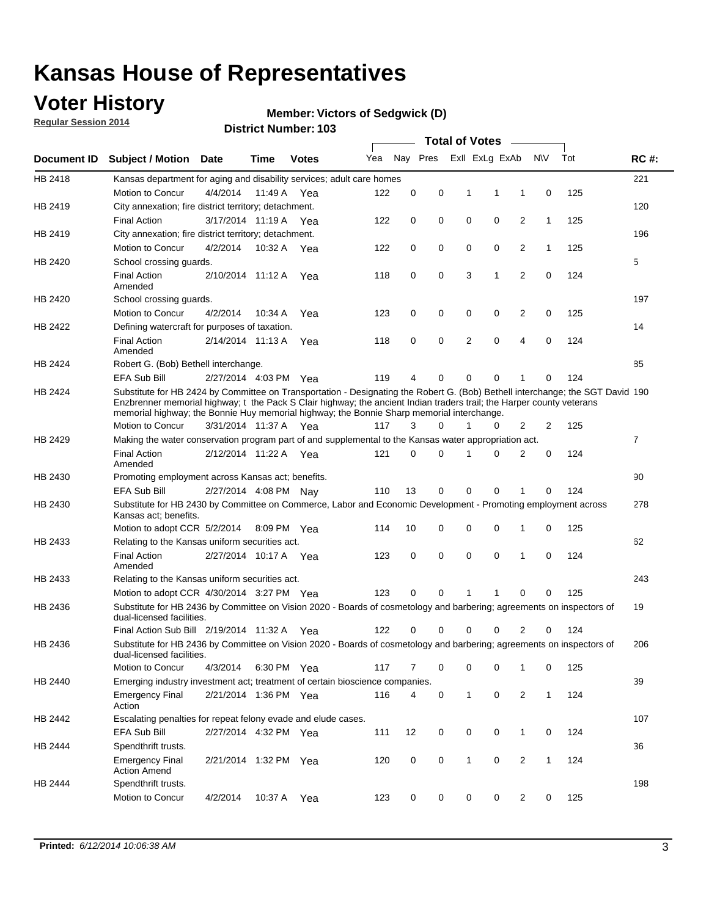### **Voter History**

**Regular Session 2014**

#### **Member: Victors of Sedgwick (D)**

|                    |                                                                                                                                                                                                                                                                                                                                                      |                       |             | DISTILL NUMBER 109 |     |          |             |                | <b>Total of Votes</b> |                |              |     |                |
|--------------------|------------------------------------------------------------------------------------------------------------------------------------------------------------------------------------------------------------------------------------------------------------------------------------------------------------------------------------------------------|-----------------------|-------------|--------------------|-----|----------|-------------|----------------|-----------------------|----------------|--------------|-----|----------------|
| <b>Document ID</b> | <b>Subject / Motion</b>                                                                                                                                                                                                                                                                                                                              | <b>Date</b>           | Time        | <b>Votes</b>       | Yea |          | Nay Pres    |                | Exll ExLg ExAb        |                | <b>NV</b>    | Tot | <b>RC#:</b>    |
| HB 2418            | Kansas department for aging and disability services; adult care homes                                                                                                                                                                                                                                                                                |                       |             |                    |     |          |             |                |                       |                |              |     | 221            |
|                    | Motion to Concur                                                                                                                                                                                                                                                                                                                                     | 4/4/2014              | 11:49 A     | Yea                | 122 | 0        | 0           | 1              | 1                     | 1              | 0            | 125 |                |
| HB 2419            | City annexation; fire district territory; detachment.                                                                                                                                                                                                                                                                                                |                       |             |                    |     |          |             |                |                       |                |              |     | 120            |
|                    | <b>Final Action</b>                                                                                                                                                                                                                                                                                                                                  | 3/17/2014 11:19 A Yea |             |                    | 122 | 0        | 0           | 0              | 0                     | $\overline{2}$ | 1            | 125 |                |
| HB 2419            | City annexation; fire district territory; detachment.                                                                                                                                                                                                                                                                                                |                       |             |                    |     |          |             |                |                       |                |              |     | 196            |
|                    | Motion to Concur                                                                                                                                                                                                                                                                                                                                     | 4/2/2014              | 10:32 A Yea |                    | 122 | 0        | 0           | 0              | 0                     | $\overline{2}$ | 1            | 125 |                |
| HB 2420            | School crossing guards.                                                                                                                                                                                                                                                                                                                              |                       |             |                    |     |          |             |                |                       |                |              |     | 5              |
|                    | <b>Final Action</b><br>Amended                                                                                                                                                                                                                                                                                                                       | 2/10/2014 11:12 A     |             | Yea                | 118 | 0        | $\mathbf 0$ | 3              | 1                     | $\overline{2}$ | $\mathbf 0$  | 124 |                |
| HB 2420            | School crossing guards.                                                                                                                                                                                                                                                                                                                              |                       |             |                    |     |          |             |                |                       |                |              |     | 197            |
|                    | Motion to Concur                                                                                                                                                                                                                                                                                                                                     | 4/2/2014              | 10:34 A     | Yea                | 123 | 0        | 0           | 0              | 0                     | $\overline{2}$ | 0            | 125 |                |
| HB 2422            | Defining watercraft for purposes of taxation.                                                                                                                                                                                                                                                                                                        |                       |             |                    |     |          |             |                |                       |                |              |     | 14             |
|                    | <b>Final Action</b><br>Amended                                                                                                                                                                                                                                                                                                                       | 2/14/2014 11:13 A     |             | Yea                | 118 | 0        | 0           | $\overline{2}$ | $\mathbf 0$           | $\overline{4}$ | 0            | 124 |                |
| HB 2424            | Robert G. (Bob) Bethell interchange.                                                                                                                                                                                                                                                                                                                 |                       |             |                    |     |          |             |                |                       |                |              |     | 85             |
|                    | <b>EFA Sub Bill</b>                                                                                                                                                                                                                                                                                                                                  | 2/27/2014 4:03 PM Yea |             |                    | 119 | 4        | 0           | 0              | 0                     | 1              | 0            | 124 |                |
| HB 2424            | Substitute for HB 2424 by Committee on Transportation - Designating the Robert G. (Bob) Bethell interchange; the SGT David 190<br>Enzbrenner memorial highway; t the Pack S Clair highway; the ancient Indian traders trail; the Harper county veterans<br>memorial highway; the Bonnie Huy memorial highway; the Bonnie Sharp memorial interchange. |                       |             |                    |     |          |             |                |                       |                |              |     |                |
|                    | Motion to Concur                                                                                                                                                                                                                                                                                                                                     | 3/31/2014 11:37 A Yea |             |                    | 117 | 3        | $\Omega$    | 1              | 0                     | 2              | 2            | 125 |                |
| HB 2429            | Making the water conservation program part of and supplemental to the Kansas water appropriation act.                                                                                                                                                                                                                                                |                       |             |                    |     |          |             |                |                       |                |              |     | $\overline{7}$ |
|                    | <b>Final Action</b><br>Amended                                                                                                                                                                                                                                                                                                                       | 2/12/2014 11:22 A Yea |             |                    | 121 | $\Omega$ | $\Omega$    | 1              | 0                     | $\overline{2}$ | 0            | 124 |                |
| HB 2430            | Promoting employment across Kansas act; benefits.                                                                                                                                                                                                                                                                                                    |                       |             |                    |     |          |             |                |                       |                |              |     | 90             |
|                    | EFA Sub Bill                                                                                                                                                                                                                                                                                                                                         | 2/27/2014 4:08 PM Nav |             |                    | 110 | 13       | 0           | 0              | 0                     |                | 0            | 124 |                |
| HB 2430            | Substitute for HB 2430 by Committee on Commerce, Labor and Economic Development - Promoting employment across<br>Kansas act; benefits.                                                                                                                                                                                                               |                       |             |                    |     |          |             |                |                       |                |              |     | 278            |
|                    | Motion to adopt CCR 5/2/2014                                                                                                                                                                                                                                                                                                                         |                       | 8:09 PM Yea |                    | 114 | 10       | 0           |                | 0<br>0                | 1              | 0            | 125 |                |
| HB 2433            | Relating to the Kansas uniform securities act.                                                                                                                                                                                                                                                                                                       |                       |             |                    |     |          |             |                |                       |                |              |     | 62             |
|                    | <b>Final Action</b><br>Amended                                                                                                                                                                                                                                                                                                                       | 2/27/2014 10:17 A Yea |             |                    | 123 | 0        | 0           | $\mathbf 0$    | 0                     | 1              | $\mathbf 0$  | 124 |                |
| HB 2433            | Relating to the Kansas uniform securities act.                                                                                                                                                                                                                                                                                                       |                       |             |                    |     |          |             |                |                       |                |              |     | 243            |
|                    | Motion to adopt CCR 4/30/2014 3:27 PM Yea                                                                                                                                                                                                                                                                                                            |                       |             |                    | 123 | $\Omega$ | $\Omega$    | 1              | 1                     | $\Omega$       | 0            | 125 |                |
| HB 2436            | Substitute for HB 2436 by Committee on Vision 2020 - Boards of cosmetology and barbering; agreements on inspectors of<br>dual-licensed facilities.                                                                                                                                                                                                   |                       |             |                    |     |          |             |                |                       |                |              |     | 19             |
|                    | Final Action Sub Bill 2/19/2014 11:32 A                                                                                                                                                                                                                                                                                                              |                       |             | Yea                | 122 | O        | 0           | O              | U                     | 2              | 0            | 124 |                |
| HB 2436            | Substitute for HB 2436 by Committee on Vision 2020 - Boards of cosmetology and barbering; agreements on inspectors of<br>dual-licensed facilities.                                                                                                                                                                                                   |                       |             |                    |     |          |             |                |                       |                |              |     | 206            |
|                    | Motion to Concur                                                                                                                                                                                                                                                                                                                                     | 4/3/2014              | 6:30 PM Yea |                    | 117 | 7        | 0           | 0              | 0                     | 1              | 0            | 125 |                |
| HB 2440            | Emerging industry investment act; treatment of certain bioscience companies.                                                                                                                                                                                                                                                                         |                       |             |                    |     |          |             |                |                       |                |              |     | 39             |
|                    | <b>Emergency Final</b><br>Action                                                                                                                                                                                                                                                                                                                     | 2/21/2014 1:36 PM Yea |             |                    | 116 | 4        | 0           | $\mathbf{1}$   | $\mathbf 0$           | 2              | $\mathbf{1}$ | 124 |                |
| HB 2442            | Escalating penalties for repeat felony evade and elude cases.                                                                                                                                                                                                                                                                                        |                       |             |                    |     |          |             |                |                       |                |              |     | 107            |
|                    | EFA Sub Bill                                                                                                                                                                                                                                                                                                                                         | 2/27/2014 4:32 PM Yea |             |                    | 111 | 12       | 0           | 0              | 0                     | $\mathbf{1}$   | 0            | 124 |                |
| HB 2444            | Spendthrift trusts.                                                                                                                                                                                                                                                                                                                                  |                       |             |                    |     |          |             |                |                       |                |              |     | 36             |
|                    | <b>Emergency Final</b><br><b>Action Amend</b>                                                                                                                                                                                                                                                                                                        | 2/21/2014 1:32 PM Yea |             |                    | 120 | 0        | 0           |                | $\mathbf{1}$<br>0     | $\overline{2}$ | $\mathbf{1}$ | 124 |                |
| HB 2444            | Spendthrift trusts.                                                                                                                                                                                                                                                                                                                                  |                       |             |                    |     |          |             |                |                       |                |              |     | 198            |
|                    | Motion to Concur                                                                                                                                                                                                                                                                                                                                     | 4/2/2014              | 10:37 A Yea |                    | 123 | 0        | 0           |                | 0<br>0                | $\overline{2}$ | 0            | 125 |                |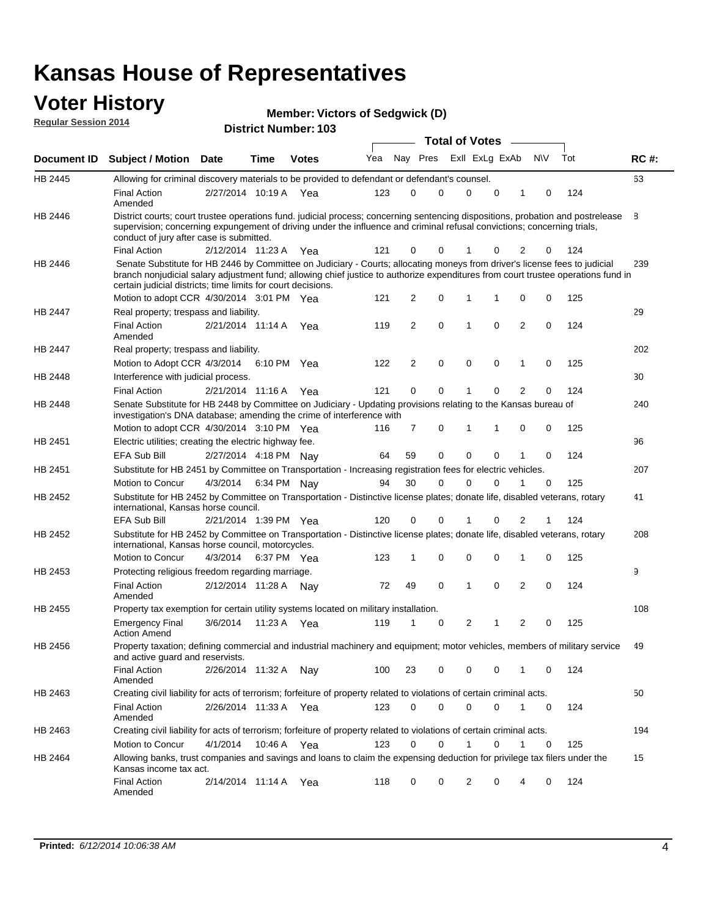#### **Voter History**

**Regular Session 2014**

**Victors of Sedgwick (D)**

**District Number: 103**

**Document ID Subject / Motion Date Time Votes** Yea Nay Pres ExII ExLg ExAb N\V Tot RC #: **Date Votes Total of Votes Time** ExII ExLg ExAb 63 2/27/2014 Final Action Yea 124 10:19 A 123 0 0 0 10 0 HB 2445 Amended Allowing for criminal discovery materials to be provided to defendant or defendant's counsel. 8 2/12/2014 Final Action Yea 124 11:23 A 121 0 0 0 20 1 HB 2446 District courts; court trustee operations fund. judicial process; concerning sentencing dispositions, probation and postrelease supervision; concerning expungement of driving under the influence and criminal refusal convictions; concerning trials, conduct of jury after case is submitted. 239 Motion to adopt CCR 4/30/2014 3:01 PM Yea  $121 \quad 2 \quad 0 \quad 1 \quad 1 \quad 0 \quad 0 \quad 125$ HB 2446 Senate Substitute for HB 2446 by Committee on Judiciary - Courts; allocating moneys from driver's license fees to judicial branch nonjudicial salary adjustment fund; allowing chief justice to authorize expenditures from court trustee operations fund in certain judicial districts; time limits for court decisions. 29 2/21/2014 Final Action Yea 124 11:14 A 119 2 0 0 20 1 HB 2447 Amended Real property; trespass and liability. 202 Motion to Adopt CCR 4/3/2014 6:10 PM Yea  $122$  2 0 0 0 1 0 125 HB 2447 Real property; trespass and liability. 30 2/21/2014 Final Action Yea 124 HB 2448 Interference with judicial process. 11:16 A 121 0 0 0 20 1 240 Motion to adopt CCR 4/30/2014 3:10 PM Yea  $116$  7 0 1 1 0 0 125 HB 2448 Senate Substitute for HB 2448 by Committee on Judiciary - Updating provisions relating to the Kansas bureau of investigation's DNA database; amending the crime of interference with 96 EFA Sub Bill 2/27/2014 4:18 PM Nay 64 59 0 0 0 0 1 0 124 HB 2451 Electric utilities; creating the electric highway fee. 207 4/3/2014 HB 2451 Motion to Concur 4/3/2014 6:34 PM Nay 94 30 0 0 1 0 125 Substitute for HB 2451 by Committee on Transportation - Increasing registration fees for electric vehicles. 41 2/21/2014 EFA Sub Bill Yea 124 1:39 PM 120 0 0 0 21 1 HB 2452 Substitute for HB 2452 by Committee on Transportation - Distinctive license plates; donate life, disabled veterans, rotary international, Kansas horse council. 208 4/3/2014 Motion to Concur Yea 125 6:37 PM 123 1 0 0 10 0 HB 2452 Substitute for HB 2452 by Committee on Transportation - Distinctive license plates; donate life, disabled veterans, rotary international, Kansas horse council, motorcycles. 9 Final Action 2/12/2014 11:28 A Nay 72 49 0 1 0 2 0 124 HB 2453 Amended Protecting religious freedom regarding marriage. 108 3/6/2014 HB 2455 Emergency Final Yea 125 11:23 A 119 1 1 0 20 2 Action Amend Property tax exemption for certain utility systems located on military installation. 49 2/26/2014 Final Action Nay 124 11:32 A 100 23 0 0 10 0 HB 2456 Amended Property taxation; defining commercial and industrial machinery and equipment; motor vehicles, members of military service and active guard and reservists. 50 2/26/2014 Final Action Yea 124 11:33 A 123 0 0 0 10 0 HB 2463 Amended Creating civil liability for acts of terrorism; forfeiture of property related to violations of certain criminal acts. 194 4/1/2014 HB 2463 Motion to Concur 4/1/2014 10:46 A Yea 123 0 0 1 0 1 0 125 Creating civil liability for acts of terrorism; forfeiture of property related to violations of certain criminal acts. 10:46 A 15 2/14/2014 Final Action Yea 124 11:14 A 118 0 0 0 40 2 HB 2464 Amended Allowing banks, trust companies and savings and loans to claim the expensing deduction for privilege tax filers under the Kansas income tax act.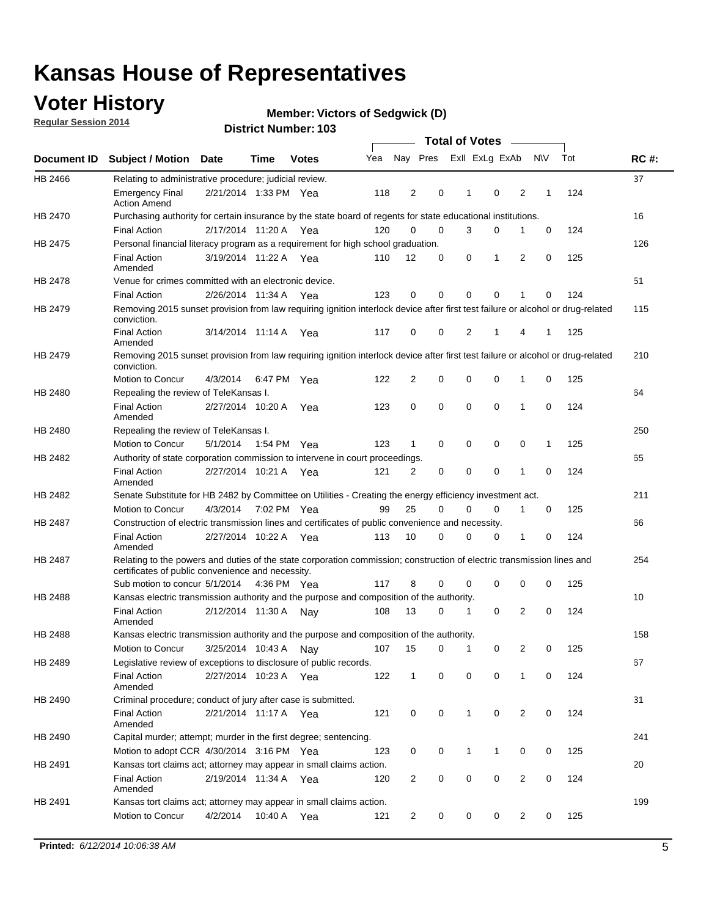## **Voter History**

**Regular Session 2014**

|                |                                                                                                                                                                             |                       |                   |              |     |                |             | <b>Total of Votes</b> |                |   |           |     |             |
|----------------|-----------------------------------------------------------------------------------------------------------------------------------------------------------------------------|-----------------------|-------------------|--------------|-----|----------------|-------------|-----------------------|----------------|---|-----------|-----|-------------|
|                | Document ID Subject / Motion                                                                                                                                                | <b>Date</b>           | Time              | <b>Votes</b> | Yea | Nay Pres       |             |                       | Exll ExLg ExAb |   | <b>NV</b> | Tot | <b>RC#:</b> |
| HB 2466        | Relating to administrative procedure; judicial review.                                                                                                                      |                       |                   |              |     |                |             |                       |                |   |           |     | 37          |
|                | <b>Emergency Final</b><br><b>Action Amend</b>                                                                                                                               | 2/21/2014 1:33 PM Yea |                   |              | 118 | 2              | 0           | 1                     | $\mathbf 0$    | 2 | 1         | 124 |             |
| HB 2470        | Purchasing authority for certain insurance by the state board of regents for state educational institutions.                                                                |                       |                   |              |     |                |             |                       |                |   |           |     | 16          |
|                | <b>Final Action</b>                                                                                                                                                         | 2/17/2014 11:20 A Yea |                   |              | 120 | $\mathbf 0$    | $\mathbf 0$ | 3                     | 0              | 1 | 0         | 124 |             |
| HB 2475        | Personal financial literacy program as a requirement for high school graduation.                                                                                            |                       |                   |              |     |                |             |                       |                |   |           |     | 126         |
|                | <b>Final Action</b><br>Amended                                                                                                                                              | 3/19/2014 11:22 A Yea |                   |              | 110 | 12             | 0           | 0                     | 1              | 2 | 0         | 125 |             |
| HB 2478        | Venue for crimes committed with an electronic device.                                                                                                                       |                       |                   |              |     |                |             |                       |                |   |           |     | 51          |
|                | <b>Final Action</b>                                                                                                                                                         | 2/26/2014 11:34 A     |                   | Yea          | 123 | 0              | 0           | $\mathbf 0$           | $\mathbf 0$    | 1 | 0         | 124 |             |
| HB 2479        | Removing 2015 sunset provision from law requiring ignition interlock device after first test failure or alcohol or drug-related<br>conviction.                              |                       |                   |              |     |                |             |                       |                |   |           |     | 115         |
|                | <b>Final Action</b><br>Amended                                                                                                                                              | 3/14/2014 11:14 A     |                   | Yea          | 117 | $\mathbf 0$    | 0           | 2                     | 1              | 4 | 1         | 125 |             |
| HB 2479        | Removing 2015 sunset provision from law requiring ignition interlock device after first test failure or alcohol or drug-related<br>conviction.                              |                       |                   |              |     |                |             |                       |                |   |           |     | 210         |
|                | Motion to Concur                                                                                                                                                            | 4/3/2014              |                   | 6:47 PM Yea  | 122 | $\overline{2}$ | 0           | 0                     | $\mathbf 0$    | 1 | 0         | 125 |             |
| HB 2480        | Repealing the review of TeleKansas I.                                                                                                                                       |                       |                   |              |     |                |             |                       |                |   |           |     | 64          |
|                | <b>Final Action</b><br>Amended                                                                                                                                              | 2/27/2014 10:20 A     |                   | Yea          | 123 | 0              | $\mathbf 0$ | $\mathbf 0$           | $\mathbf 0$    | 1 | 0         | 124 |             |
| HB 2480        | Repealing the review of TeleKansas I.                                                                                                                                       |                       |                   |              |     |                |             |                       |                |   |           |     | 250         |
|                | Motion to Concur                                                                                                                                                            | 5/1/2014              |                   | 1:54 PM Yea  | 123 | 1              | 0           | 0                     | 0              | 0 | 1         | 125 |             |
| HB 2482        | Authority of state corporation commission to intervene in court proceedings.                                                                                                |                       |                   |              |     |                |             |                       |                |   |           |     | 65          |
|                | <b>Final Action</b><br>Amended                                                                                                                                              | 2/27/2014 10:21 A     |                   | Yea          | 121 | 2              | 0           | $\mathbf 0$           | $\mathbf 0$    | 1 | 0         | 124 |             |
| HB 2482        | Senate Substitute for HB 2482 by Committee on Utilities - Creating the energy efficiency investment act.                                                                    |                       |                   |              |     |                |             |                       |                |   |           |     | 211         |
|                | Motion to Concur                                                                                                                                                            | 4/3/2014 7:02 PM Yea  |                   |              | 99  | 25             | $\Omega$    | 0                     | $\mathbf 0$    | 1 | 0         | 125 |             |
| <b>HB 2487</b> | Construction of electric transmission lines and certificates of public convenience and necessity.                                                                           |                       |                   |              |     |                |             |                       |                |   |           |     | 66          |
|                | <b>Final Action</b><br>Amended                                                                                                                                              | 2/27/2014 10:22 A Yea |                   |              | 113 | 10             | 0           | $\mathbf 0$           | 0              | 1 | 0         | 124 |             |
| HB 2487        | Relating to the powers and duties of the state corporation commission; construction of electric transmission lines and<br>certificates of public convenience and necessity. |                       |                   |              |     |                |             |                       |                |   |           |     | 254         |
|                | Sub motion to concur 5/1/2014                                                                                                                                               |                       |                   | 4:36 PM Yea  | 117 | 8              | 0           | 0                     | 0              | 0 | 0         | 125 |             |
| <b>HB 2488</b> | Kansas electric transmission authority and the purpose and composition of the authority.                                                                                    |                       |                   |              |     |                |             |                       |                |   |           |     | 10          |
|                | <b>Final Action</b><br>Amended                                                                                                                                              | 2/12/2014 11:30 A     |                   | Nav          | 108 | 13             | 0           | 1                     | $\mathbf 0$    | 2 | 0         | 124 |             |
| HB 2488        | Kansas electric transmission authority and the purpose and composition of the authority.                                                                                    |                       |                   |              |     |                |             |                       |                |   |           |     | 158         |
|                | Motion to Concur                                                                                                                                                            |                       | 3/25/2014 10:43 A | Nav          | 107 | 15             | 0           | $\mathbf 1$           | 0              | 2 | 0         | 125 |             |
| HB 2489        | Legislative review of exceptions to disclosure of public records.                                                                                                           |                       |                   |              |     |                |             |                       |                |   |           |     | 67          |
|                | <b>Final Action</b><br>Amended                                                                                                                                              | 2/27/2014 10:23 A Yea |                   |              | 122 | $\mathbf{1}$   | 0           | 0                     | 0              | 1 | 0         | 124 |             |
| HB 2490        | Criminal procedure; conduct of jury after case is submitted.                                                                                                                |                       |                   |              |     |                |             |                       |                |   |           |     | 31          |
|                | <b>Final Action</b><br>Amended                                                                                                                                              | 2/21/2014 11:17 A Yea |                   |              | 121 | 0              | 0           | $\mathbf{1}$          | $\mathbf 0$    | 2 | 0         | 124 |             |
| HB 2490        | Capital murder; attempt; murder in the first degree; sentencing.                                                                                                            |                       |                   |              |     |                |             |                       |                |   |           |     | 241         |
|                | Motion to adopt CCR 4/30/2014 3:16 PM Yea                                                                                                                                   |                       |                   |              | 123 | 0              | 0           | 1                     | 1              | 0 | 0         | 125 |             |
| HB 2491        | Kansas tort claims act; attorney may appear in small claims action.                                                                                                         |                       |                   |              |     |                |             |                       |                |   |           |     | 20          |
|                | <b>Final Action</b><br>Amended                                                                                                                                              | 2/19/2014 11:34 A Yea |                   |              | 120 | $\overline{c}$ | 0           | 0                     | $\pmb{0}$      | 2 | 0         | 124 |             |
| HB 2491        | Kansas tort claims act; attorney may appear in small claims action.                                                                                                         |                       |                   |              |     |                |             |                       |                |   |           |     | 199         |
|                | Motion to Concur                                                                                                                                                            | 4/2/2014              | 10:40 A           | Yea          | 121 | 2              | 0           | 0                     | 0              | 2 | 0         | 125 |             |

**Member: Victors of Sedgwick (D)**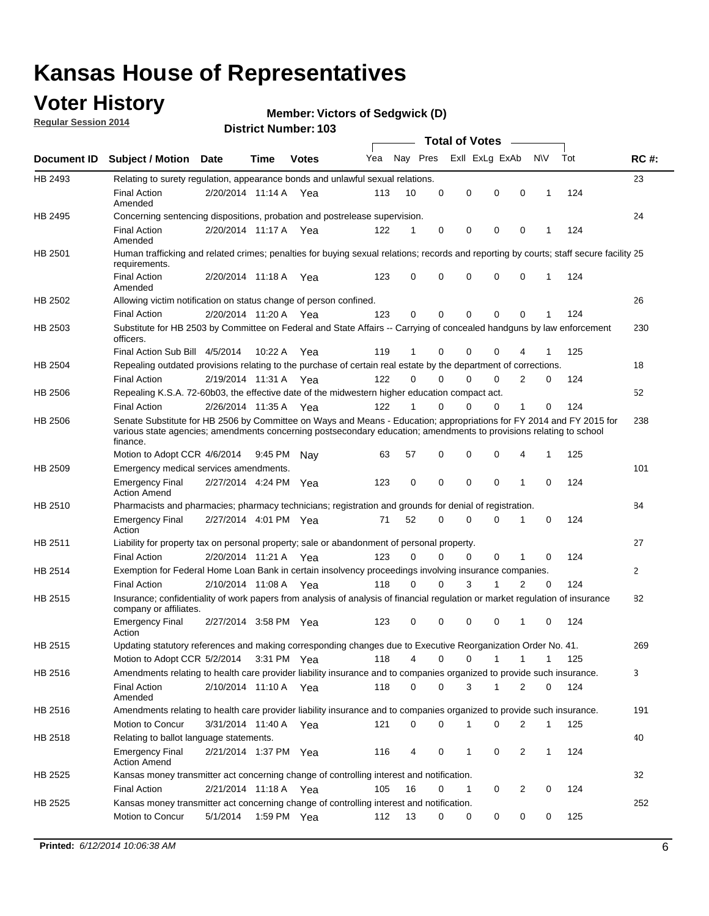### **Voter History**

**Regular Session 2014**

#### **Member: Victors of Sedgwick (D)**

|                    |                                                                                                                                                                                                                                                        |                       |         |              |     |          |          | <b>Total of Votes</b> |                |                |              |     |              |
|--------------------|--------------------------------------------------------------------------------------------------------------------------------------------------------------------------------------------------------------------------------------------------------|-----------------------|---------|--------------|-----|----------|----------|-----------------------|----------------|----------------|--------------|-----|--------------|
| <b>Document ID</b> | <b>Subject / Motion Date</b>                                                                                                                                                                                                                           |                       | Time    | <b>Votes</b> | Yea | Nay Pres |          |                       | Exll ExLg ExAb |                | N\V          | Tot | <b>RC#:</b>  |
| HB 2493            | Relating to surety regulation, appearance bonds and unlawful sexual relations.                                                                                                                                                                         |                       |         |              |     |          |          |                       |                |                |              |     | 23           |
|                    | <b>Final Action</b><br>Amended                                                                                                                                                                                                                         | 2/20/2014 11:14 A     |         | Yea          | 113 | 10       | 0        | 0                     | 0              | $\mathbf 0$    | 1            | 124 |              |
| HB 2495            | Concerning sentencing dispositions, probation and postrelease supervision.                                                                                                                                                                             |                       |         |              |     |          |          |                       |                |                |              |     | 24           |
|                    | <b>Final Action</b><br>Amended                                                                                                                                                                                                                         | 2/20/2014 11:17 A Yea |         |              | 122 | 1        | 0        | 0                     | 0              | 0              | 1            | 124 |              |
| HB 2501            | Human trafficking and related crimes; penalties for buying sexual relations; records and reporting by courts; staff secure facility 25<br>requirements.                                                                                                |                       |         |              |     |          |          |                       |                |                |              |     |              |
|                    | <b>Final Action</b><br>Amended                                                                                                                                                                                                                         | 2/20/2014 11:18 A Yea |         |              | 123 | 0        | 0        | 0                     | $\Omega$       | 0              | 1            | 124 |              |
| HB 2502            | Allowing victim notification on status change of person confined.                                                                                                                                                                                      |                       |         |              |     |          |          |                       |                |                |              |     | 26           |
|                    | <b>Final Action</b>                                                                                                                                                                                                                                    | 2/20/2014 11:20 A Yea |         |              | 123 | 0        | 0        | 0                     | 0              | $\Omega$       |              | 124 |              |
| HB 2503            | Substitute for HB 2503 by Committee on Federal and State Affairs -- Carrying of concealed handguns by law enforcement<br>officers.                                                                                                                     |                       |         |              |     |          |          |                       |                |                |              |     | 230          |
|                    | Final Action Sub Bill 4/5/2014                                                                                                                                                                                                                         |                       | 10:22 A | Yea          | 119 | 1        | 0        | 0                     | $\Omega$       | 4              |              | 125 |              |
| HB 2504            | Repealing outdated provisions relating to the purchase of certain real estate by the department of corrections.                                                                                                                                        |                       |         |              |     |          |          |                       |                |                |              |     | 18           |
|                    | <b>Final Action</b>                                                                                                                                                                                                                                    | 2/19/2014 11:31 A Yea |         |              | 122 | 0        | 0        | 0                     | $\Omega$       | 2              | 0            | 124 |              |
| HB 2506            | Repealing K.S.A. 72-60b03, the effective date of the midwestern higher education compact act.                                                                                                                                                          |                       |         |              |     |          |          |                       |                |                |              |     | 52           |
|                    | <b>Final Action</b>                                                                                                                                                                                                                                    | 2/26/2014 11:35 A Yea |         |              | 122 |          | 0        | 0                     | $\Omega$       | 1              | 0            | 124 |              |
| HB 2506            | Senate Substitute for HB 2506 by Committee on Ways and Means - Education; appropriations for FY 2014 and FY 2015 for<br>various state agencies; amendments concerning postsecondary education; amendments to provisions relating to school<br>finance. |                       |         |              |     |          |          |                       |                |                |              |     | 238          |
|                    | Motion to Adopt CCR 4/6/2014                                                                                                                                                                                                                           |                       | 9:45 PM | Nav          | 63  | 57       | 0        | 0                     | $\Omega$       | 4              | 1            | 125 |              |
| HB 2509            | Emergency medical services amendments.                                                                                                                                                                                                                 |                       |         |              |     |          |          |                       |                |                |              |     | 101          |
|                    | <b>Emergency Final</b><br><b>Action Amend</b>                                                                                                                                                                                                          | 2/27/2014 4:24 PM Yea |         |              | 123 | 0        | 0        | 0                     | $\mathbf 0$    | $\mathbf{1}$   | 0            | 124 |              |
| HB 2510            | Pharmacists and pharmacies; pharmacy technicians; registration and grounds for denial of registration.                                                                                                                                                 |                       |         |              |     |          |          |                       |                |                |              |     | 84           |
|                    | Emergency Final<br>Action                                                                                                                                                                                                                              | 2/27/2014 4:01 PM Yea |         |              | 71  | 52       | 0        | 0                     | $\Omega$       | 1              | 0            | 124 |              |
| HB 2511            | Liability for property tax on personal property; sale or abandonment of personal property.                                                                                                                                                             |                       |         |              |     |          |          |                       |                |                |              |     | 27           |
|                    | <b>Final Action</b>                                                                                                                                                                                                                                    | 2/20/2014 11:21 A     |         | Yea          | 123 | $\Omega$ | $\Omega$ | $\Omega$              | $\mathbf 0$    | 1              | $\mathbf 0$  | 124 |              |
| HB 2514            | Exemption for Federal Home Loan Bank in certain insolvency proceedings involving insurance companies.                                                                                                                                                  |                       |         |              |     |          |          |                       |                |                |              |     | $\mathbf{2}$ |
|                    | <b>Final Action</b>                                                                                                                                                                                                                                    | 2/10/2014 11:08 A     |         | Yea          | 118 | 0        | 0        | 3                     | 1              | $\overline{2}$ | $\mathbf 0$  | 124 |              |
| HB 2515            | Insurance; confidentiality of work papers from analysis of analysis of financial regulation or market regulation of insurance<br>company or affiliates.                                                                                                |                       |         |              |     |          |          |                       |                |                |              |     | 82           |
|                    | <b>Emergency Final</b><br>Action                                                                                                                                                                                                                       | 2/27/2014 3:58 PM Yea |         |              | 123 | 0        | 0        | 0                     | 0              | -1             | 0            | 124 |              |
| HB 2515            | Updating statutory references and making corresponding changes due to Executive Reorganization Order No. 41.                                                                                                                                           |                       |         |              |     |          |          |                       |                |                |              |     | 269          |
|                    | Motion to Adopt CCR 5/2/2014 3:31 PM Yea                                                                                                                                                                                                               |                       |         |              | 118 | 4        | 0        | 0                     | $\mathbf{1}$   | $\mathbf{1}$   | 1            | 125 |              |
| HB 2516            | Amendments relating to health care provider liability insurance and to companies organized to provide such insurance.                                                                                                                                  |                       |         |              |     |          |          |                       |                |                |              |     | 3            |
|                    | <b>Final Action</b><br>Amended                                                                                                                                                                                                                         | 2/10/2014 11:10 A     |         | Yea          | 118 | 0        | 0        | 3                     | $\mathbf{1}$   | 2              | 0            | 124 |              |
| HB 2516            | Amendments relating to health care provider liability insurance and to companies organized to provide such insurance.                                                                                                                                  |                       |         |              |     |          |          |                       |                |                |              |     | 191          |
|                    | Motion to Concur                                                                                                                                                                                                                                       | 3/31/2014 11:40 A Yea |         |              | 121 | 0        | 0        | 1                     | 0              | 2              | $\mathbf{1}$ | 125 |              |
| HB 2518            | Relating to ballot language statements.                                                                                                                                                                                                                |                       |         |              |     |          |          |                       |                |                |              |     | 40           |
|                    | Emergency Final<br><b>Action Amend</b>                                                                                                                                                                                                                 | 2/21/2014 1:37 PM Yea |         |              | 116 | 4        | 0        | 1                     | 0              | 2              | $\mathbf{1}$ | 124 |              |
| HB 2525            | Kansas money transmitter act concerning change of controlling interest and notification.                                                                                                                                                               |                       |         |              |     |          |          |                       |                |                |              |     | 32           |
|                    | <b>Final Action</b>                                                                                                                                                                                                                                    | 2/21/2014 11:18 A Yea |         |              | 105 | 16       | 0        | 1                     | 0              | 2              | 0            | 124 |              |
| HB 2525            | Kansas money transmitter act concerning change of controlling interest and notification.                                                                                                                                                               |                       |         |              |     |          |          |                       |                |                |              |     | 252          |
|                    | Motion to Concur                                                                                                                                                                                                                                       | 5/1/2014              |         | 1:59 PM Yea  | 112 | 13       | 0        | 0                     | 0              | 0              | 0            | 125 |              |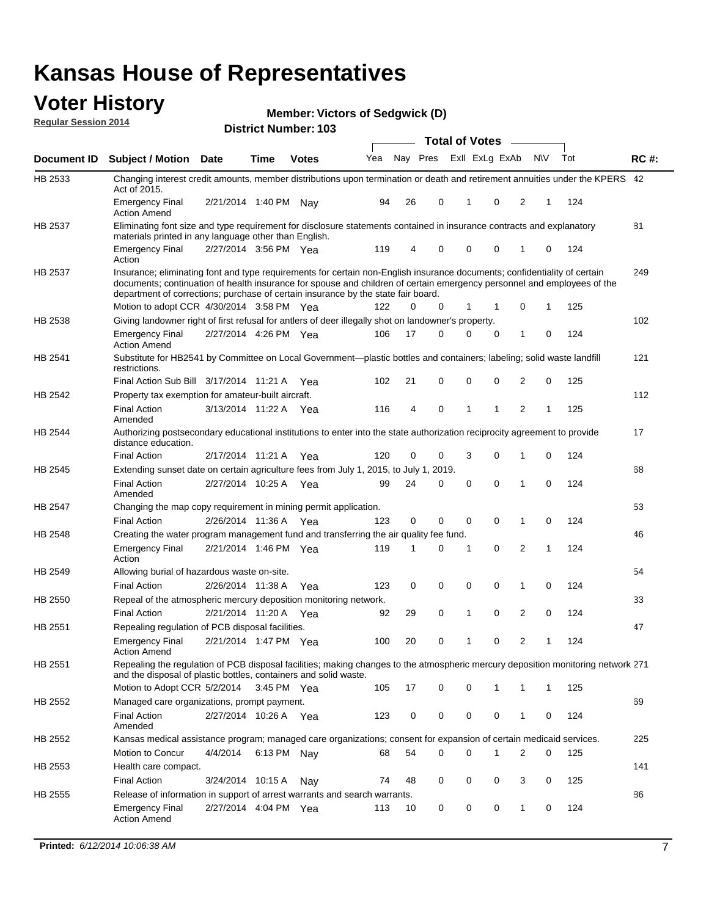#### **Voter History Regular Session 2014**

**Member: Victors of Sedgwick (D)** 

|                    |                                                                                                                                                                                                                                                                                                                                           |                       |             |              |     |    | <b>Total of Votes</b>   |              |          |             |     |     |             |
|--------------------|-------------------------------------------------------------------------------------------------------------------------------------------------------------------------------------------------------------------------------------------------------------------------------------------------------------------------------------------|-----------------------|-------------|--------------|-----|----|-------------------------|--------------|----------|-------------|-----|-----|-------------|
| <b>Document ID</b> | <b>Subject / Motion Date</b>                                                                                                                                                                                                                                                                                                              |                       | Time        | <b>Votes</b> | Yea |    | Nay Pres ExII ExLg ExAb |              |          |             | N\V | Tot | <b>RC#:</b> |
| HB 2533            | Changing interest credit amounts, member distributions upon termination or death and retirement annuities under the KPERS 42<br>Act of 2015.                                                                                                                                                                                              |                       |             |              |     |    |                         |              |          |             |     |     |             |
|                    | <b>Emergency Final</b><br><b>Action Amend</b>                                                                                                                                                                                                                                                                                             | 2/21/2014 1:40 PM Nay |             |              | 94  | 26 | 0                       | 1            | 0        | 2           | 1   | 124 |             |
| HB 2537            | Eliminating font size and type requirement for disclosure statements contained in insurance contracts and explanatory                                                                                                                                                                                                                     |                       |             |              |     |    |                         |              |          |             |     |     | 81          |
|                    | materials printed in any language other than English.<br><b>Emergency Final</b>                                                                                                                                                                                                                                                           | 2/27/2014 3:56 PM Yea |             |              | 119 | 4  | 0                       | 0            | 0        | 1           | 0   | 124 |             |
|                    | Action                                                                                                                                                                                                                                                                                                                                    |                       |             |              |     |    |                         |              |          |             |     |     |             |
| HB 2537            | Insurance; eliminating font and type requirements for certain non-English insurance documents; confidentiality of certain<br>documents; continuation of health insurance for spouse and children of certain emergency personnel and employees of the<br>department of corrections; purchase of certain insurance by the state fair board. |                       |             |              |     |    |                         |              |          |             |     |     | 249         |
|                    | Motion to adopt CCR 4/30/2014 3:58 PM Yea                                                                                                                                                                                                                                                                                                 |                       |             |              | 122 | 0  | 0                       | 1            | 1        | $\mathbf 0$ | 1   | 125 |             |
| HB 2538            | Giving landowner right of first refusal for antlers of deer illegally shot on landowner's property.                                                                                                                                                                                                                                       |                       |             |              |     |    |                         |              |          |             |     |     | 102         |
|                    | <b>Emergency Final</b><br><b>Action Amend</b>                                                                                                                                                                                                                                                                                             | 2/27/2014 4:26 PM Yea |             |              | 106 | 17 | 0                       | 0            | 0        | 1           | 0   | 124 |             |
| HB 2541            | Substitute for HB2541 by Committee on Local Government—plastic bottles and containers; labeling; solid waste landfill<br>restrictions.                                                                                                                                                                                                    |                       |             |              |     |    |                         |              |          |             |     |     | 121         |
|                    | Final Action Sub Bill 3/17/2014 11:21 A Yea                                                                                                                                                                                                                                                                                               |                       |             |              | 102 | 21 | 0                       | 0            | 0        | 2           | 0   | 125 |             |
| HB 2542            | Property tax exemption for amateur-built aircraft.                                                                                                                                                                                                                                                                                        |                       |             |              |     |    |                         |              |          |             |     |     | 112         |
|                    | <b>Final Action</b><br>Amended                                                                                                                                                                                                                                                                                                            | 3/13/2014 11:22 A Yea |             |              | 116 | 4  | 0                       | $\mathbf{1}$ | 1        | 2           | 1   | 125 |             |
| HB 2544            | Authorizing postsecondary educational institutions to enter into the state authorization reciprocity agreement to provide<br>distance education.                                                                                                                                                                                          |                       |             |              |     |    |                         |              |          |             |     |     | 17          |
|                    | <b>Final Action</b>                                                                                                                                                                                                                                                                                                                       | 2/17/2014 11:21 A Yea |             |              | 120 | 0  | 0                       | 3            | 0        | 1           | 0   | 124 |             |
| HB 2545            | Extending sunset date on certain agriculture fees from July 1, 2015, to July 1, 2019.                                                                                                                                                                                                                                                     |                       |             |              |     |    |                         |              |          |             |     |     | 68          |
|                    | <b>Final Action</b><br>Amended                                                                                                                                                                                                                                                                                                            | 2/27/2014 10:25 A Yea |             |              | 99  | 24 | 0                       | $\mathbf 0$  | $\Omega$ | 1           | 0   | 124 |             |
| HB 2547            | Changing the map copy requirement in mining permit application.                                                                                                                                                                                                                                                                           |                       |             |              |     |    |                         |              |          |             |     |     | 53          |
|                    | <b>Final Action</b>                                                                                                                                                                                                                                                                                                                       | 2/26/2014 11:36 A     |             | Yea          | 123 | 0  | 0                       | 0            | 0        | 1           | 0   | 124 |             |
| HB 2548            | Creating the water program management fund and transferring the air quality fee fund.                                                                                                                                                                                                                                                     |                       |             |              |     |    |                         |              |          |             |     |     | 46          |
|                    | <b>Emergency Final</b><br>Action                                                                                                                                                                                                                                                                                                          | 2/21/2014 1:46 PM Yea |             |              | 119 | 1  | 0                       | 1            | 0        | 2           | 1   | 124 |             |
| HB 2549            | Allowing burial of hazardous waste on-site.                                                                                                                                                                                                                                                                                               |                       |             |              |     |    |                         |              |          |             |     |     | 54          |
|                    | <b>Final Action</b>                                                                                                                                                                                                                                                                                                                       | 2/26/2014 11:38 A     |             | Yea          | 123 | 0  | $\mathbf 0$             | $\mathbf 0$  | 0        | 1           | 0   | 124 |             |
| HB 2550            | Repeal of the atmospheric mercury deposition monitoring network.                                                                                                                                                                                                                                                                          |                       |             |              |     |    |                         |              |          |             |     |     | 33          |
|                    | <b>Final Action</b>                                                                                                                                                                                                                                                                                                                       | 2/21/2014 11:20 A Yea |             |              | 92  | 29 | 0                       | $\mathbf{1}$ | 0        | 2           | 0   | 124 |             |
| HB 2551            | Repealing regulation of PCB disposal facilities.                                                                                                                                                                                                                                                                                          |                       |             |              |     |    |                         |              |          |             |     |     | 47          |
|                    | <b>Emergency Final</b><br>Action Amend                                                                                                                                                                                                                                                                                                    | 2/21/2014 1:47 PM Yea |             |              | 100 | 20 | 0                       | $\mathbf{1}$ | 0        | 2           | 1   | 124 |             |
| HB 2551            | Repealing the regulation of PCB disposal facilities; making changes to the atmospheric mercury deposition monitoring network 271<br>and the disposal of plastic bottles, containers and solid waste.                                                                                                                                      |                       |             |              |     |    |                         |              |          |             |     |     |             |
|                    | Motion to Adopt CCR 5/2/2014                                                                                                                                                                                                                                                                                                              |                       | 3:45 PM Yea |              | 105 | 17 | 0                       | 0            | 1        | 1           | 1   | 125 |             |
| HB 2552            | Managed care organizations, prompt payment.                                                                                                                                                                                                                                                                                               |                       |             |              |     |    |                         |              |          |             |     |     | 69          |
|                    | <b>Final Action</b><br>Amended                                                                                                                                                                                                                                                                                                            | 2/27/2014 10:26 A Yea |             |              | 123 | 0  | 0                       | 0            | 0        | 1           | 0   | 124 |             |
| HB 2552            | Kansas medical assistance program; managed care organizations; consent for expansion of certain medicaid services.                                                                                                                                                                                                                        |                       |             |              |     |    |                         |              |          |             |     |     | 225         |
|                    | Motion to Concur                                                                                                                                                                                                                                                                                                                          | 4/4/2014              | 6:13 PM Nay |              | 68  | 54 | 0                       | 0            | 1        | 2           | 0   | 125 |             |
| HB 2553            | Health care compact.                                                                                                                                                                                                                                                                                                                      |                       |             |              |     |    |                         |              |          |             |     |     | 141         |
|                    | <b>Final Action</b>                                                                                                                                                                                                                                                                                                                       | 3/24/2014 10:15 A     |             | Nay          | 74  | 48 | 0                       | 0            | 0        | 3           | 0   | 125 |             |
| HB 2555            | Release of information in support of arrest warrants and search warrants.                                                                                                                                                                                                                                                                 |                       |             |              |     |    |                         |              |          |             |     |     | 86          |
|                    | <b>Emergency Final</b><br><b>Action Amend</b>                                                                                                                                                                                                                                                                                             | 2/27/2014 4:04 PM Yea |             |              | 113 | 10 | 0                       | 0            | 0        | 1           | 0   | 124 |             |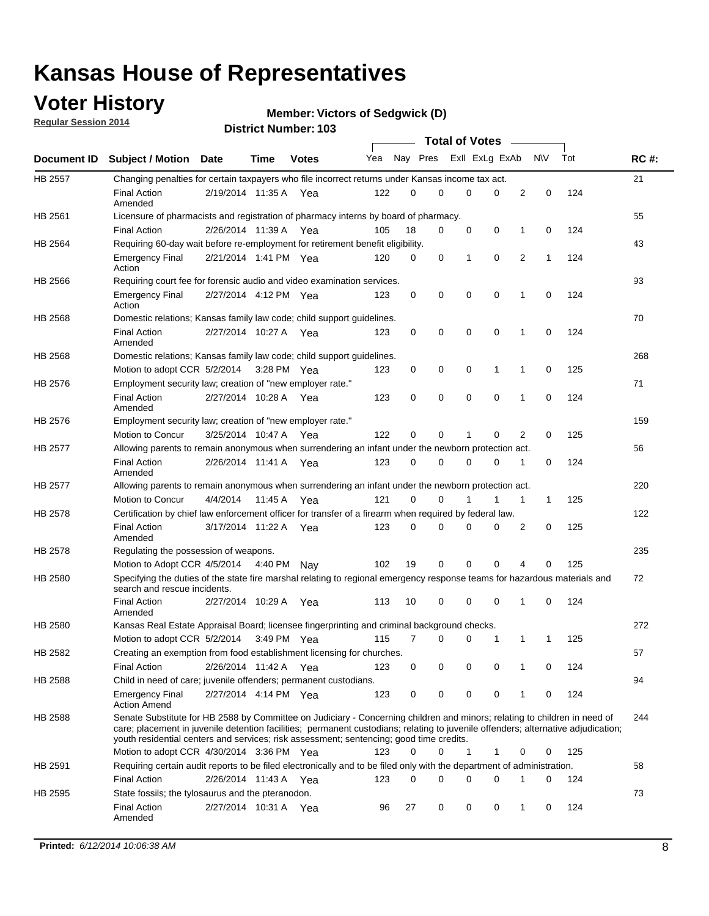### **Voter History**

**Regular Session 2014**

```
Member: Victors of Sedgwick (D)
```

|                |                                                                                                                                                                                                                                                                                                                                                           |                       |         |              |     |          |   | <b>Total of Votes</b> |             |              |             |     |             |
|----------------|-----------------------------------------------------------------------------------------------------------------------------------------------------------------------------------------------------------------------------------------------------------------------------------------------------------------------------------------------------------|-----------------------|---------|--------------|-----|----------|---|-----------------------|-------------|--------------|-------------|-----|-------------|
|                | Document ID Subject / Motion Date                                                                                                                                                                                                                                                                                                                         |                       | Time    | <b>Votes</b> | Yea | Nay Pres |   | Exll ExLg ExAb        |             |              | N\V         | Tot | <b>RC#:</b> |
| <b>HB 2557</b> | Changing penalties for certain taxpayers who file incorrect returns under Kansas income tax act.                                                                                                                                                                                                                                                          |                       |         |              |     |          |   |                       |             |              |             |     | 21          |
|                | <b>Final Action</b><br>Amended                                                                                                                                                                                                                                                                                                                            | 2/19/2014 11:35 A     |         | Yea          | 122 | 0        | 0 | 0                     | 0           | 2            | $\mathbf 0$ | 124 |             |
| HB 2561        | Licensure of pharmacists and registration of pharmacy interns by board of pharmacy.                                                                                                                                                                                                                                                                       |                       |         |              |     |          |   |                       |             |              |             |     | 55          |
|                | <b>Final Action</b>                                                                                                                                                                                                                                                                                                                                       | 2/26/2014 11:39 A Yea |         |              | 105 | 18       | 0 | 0                     | 0           | 1            | 0           | 124 |             |
| HB 2564        | Requiring 60-day wait before re-employment for retirement benefit eligibility.                                                                                                                                                                                                                                                                            |                       |         |              |     |          |   |                       |             |              |             |     | 43          |
|                | <b>Emergency Final</b><br>Action                                                                                                                                                                                                                                                                                                                          | 2/21/2014 1:41 PM Yea |         |              | 120 | 0        | 0 | 1                     | 0           | 2            | 1           | 124 |             |
| HB 2566        | Requiring court fee for forensic audio and video examination services.                                                                                                                                                                                                                                                                                    |                       |         |              |     |          |   |                       |             |              |             |     | 93          |
|                | <b>Emergency Final</b><br>Action                                                                                                                                                                                                                                                                                                                          | 2/27/2014 4:12 PM Yea |         |              | 123 | 0        | 0 | 0                     | $\mathbf 0$ | $\mathbf{1}$ | 0           | 124 |             |
| HB 2568        | Domestic relations; Kansas family law code; child support guidelines.                                                                                                                                                                                                                                                                                     |                       |         |              |     |          |   |                       |             |              |             |     | 70          |
|                | <b>Final Action</b><br>Amended                                                                                                                                                                                                                                                                                                                            | 2/27/2014 10:27 A     |         | Yea          | 123 | 0        | 0 | 0                     | $\mathbf 0$ | 1            | 0           | 124 |             |
| HB 2568        | Domestic relations; Kansas family law code; child support guidelines.                                                                                                                                                                                                                                                                                     |                       |         |              |     |          |   |                       |             |              |             |     | 268         |
|                | Motion to adopt CCR 5/2/2014                                                                                                                                                                                                                                                                                                                              |                       |         | 3:28 PM Yea  | 123 | 0        | 0 | 0                     | 1           | 1            | $\mathbf 0$ | 125 |             |
| HB 2576        | Employment security law; creation of "new employer rate."                                                                                                                                                                                                                                                                                                 |                       |         |              |     |          |   |                       |             |              |             |     | 71          |
|                | <b>Final Action</b><br>Amended                                                                                                                                                                                                                                                                                                                            | 2/27/2014 10:28 A Yea |         |              | 123 | 0        | 0 | 0                     | 0           | 1            | 0           | 124 |             |
| HB 2576        | Employment security law; creation of "new employer rate."                                                                                                                                                                                                                                                                                                 |                       |         |              |     |          |   |                       |             |              |             |     | 159         |
|                | Motion to Concur                                                                                                                                                                                                                                                                                                                                          | 3/25/2014 10:47 A     |         | Yea          | 122 | 0        | 0 | 1                     | 0           | 2            | 0           | 125 |             |
| HB 2577        | Allowing parents to remain anonymous when surrendering an infant under the newborn protection act.                                                                                                                                                                                                                                                        |                       |         |              |     |          |   |                       |             |              |             |     | 56          |
|                | <b>Final Action</b><br>Amended                                                                                                                                                                                                                                                                                                                            | 2/26/2014 11:41 A Yea |         |              | 123 | $\Omega$ | 0 | 0                     | $\Omega$    | 1            | 0           | 124 |             |
| HB 2577        | Allowing parents to remain anonymous when surrendering an infant under the newborn protection act.                                                                                                                                                                                                                                                        |                       |         |              |     |          |   |                       |             |              |             |     | 220         |
|                | Motion to Concur                                                                                                                                                                                                                                                                                                                                          | 4/4/2014              | 11:45 A | Yea          | 121 | $\Omega$ | 0 | 1                     | 1           | 1            | 1           | 125 |             |
| HB 2578        | Certification by chief law enforcement officer for transfer of a firearm when required by federal law.                                                                                                                                                                                                                                                    |                       |         |              |     |          |   |                       |             |              |             |     | 122         |
|                | <b>Final Action</b><br>Amended                                                                                                                                                                                                                                                                                                                            | 3/17/2014 11:22 A     |         | Yea          | 123 | $\Omega$ | 0 | 0                     | 0           | 2            | 0           | 125 |             |
| HB 2578        | Regulating the possession of weapons.                                                                                                                                                                                                                                                                                                                     |                       |         |              |     |          |   |                       |             |              |             |     | 235         |
|                | Motion to Adopt CCR 4/5/2014 4:40 PM Nay                                                                                                                                                                                                                                                                                                                  |                       |         |              | 102 | 19       | 0 | 0                     | 0           | 4            | 0           | 125 |             |
| HB 2580        | Specifying the duties of the state fire marshal relating to regional emergency response teams for hazardous materials and<br>search and rescue incidents.                                                                                                                                                                                                 |                       |         |              |     |          |   |                       |             |              |             |     | 72          |
|                | <b>Final Action</b><br>Amended                                                                                                                                                                                                                                                                                                                            | 2/27/2014 10:29 A     |         | Yea          | 113 | 10       | 0 | 0                     | $\mathbf 0$ | 1            | 0           | 124 |             |
| HB 2580        | Kansas Real Estate Appraisal Board; licensee fingerprinting and criminal background checks.                                                                                                                                                                                                                                                               |                       |         |              |     |          |   |                       |             |              |             |     | 272         |
|                | Motion to adopt CCR 5/2/2014                                                                                                                                                                                                                                                                                                                              |                       |         | 3:49 PM Yea  | 115 | 7        | 0 | 0                     | 1           | 1            | 1           | 125 |             |
| HB 2582        | Creating an exemption from food establishment licensing for churches.                                                                                                                                                                                                                                                                                     |                       |         |              |     |          |   |                       |             |              |             |     | 57          |
|                | <b>Final Action</b>                                                                                                                                                                                                                                                                                                                                       | 2/26/2014 11:42 A Yea |         |              | 123 | 0        | 0 | 0                     | 0           |              | 0           | 124 |             |
| HB 2588        | Child in need of care; juvenile offenders; permanent custodians.                                                                                                                                                                                                                                                                                          |                       |         |              |     |          |   |                       |             |              |             |     | 94          |
|                | <b>Emergency Final</b><br><b>Action Amend</b>                                                                                                                                                                                                                                                                                                             | 2/27/2014 4:14 PM Yea |         |              | 123 | 0        | 0 | 0                     | 0           | 1            | 0           | 124 |             |
| HB 2588        | Senate Substitute for HB 2588 by Committee on Judiciary - Concerning children and minors; relating to children in need of<br>care; placement in juvenile detention facilities; permanent custodians; relating to juvenile offenders; alternative adjudication;<br>youth residential centers and services; risk assessment; sentencing; good time credits. |                       |         |              |     |          |   |                       |             |              |             |     | 244         |
|                | Motion to adopt CCR 4/30/2014 3:36 PM Yea                                                                                                                                                                                                                                                                                                                 |                       |         |              | 123 | 0        | 0 | 1                     | 1           | 0            | 0           | 125 |             |
| HB 2591        | Requiring certain audit reports to be filed electronically and to be filed only with the department of administration.                                                                                                                                                                                                                                    |                       |         |              |     |          |   |                       |             |              |             |     | 58          |
|                | <b>Final Action</b>                                                                                                                                                                                                                                                                                                                                       | 2/26/2014 11:43 A Yea |         |              | 123 | 0        | 0 | 0                     | 0           | 1            | 0           | 124 |             |
| HB 2595        | State fossils; the tylosaurus and the pteranodon.                                                                                                                                                                                                                                                                                                         |                       |         |              |     |          |   |                       |             |              |             |     | 73          |
|                | <b>Final Action</b><br>Amended                                                                                                                                                                                                                                                                                                                            | 2/27/2014 10:31 A Yea |         |              | 96  | 27       | 0 | 0                     | 0           | 1            | 0           | 124 |             |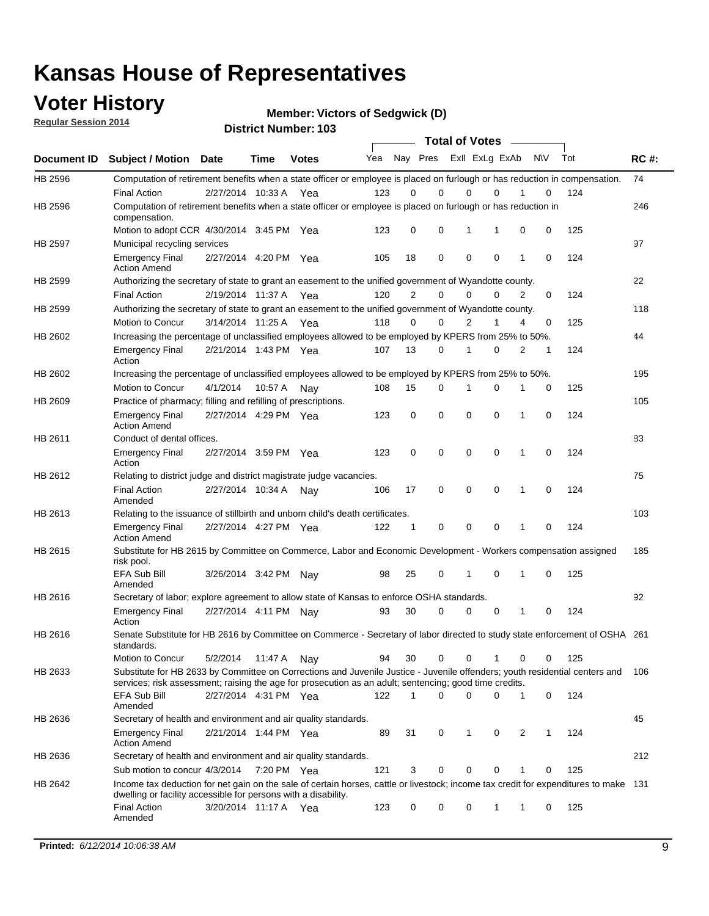### **Voter History**

**Regular Session 2014**

**Member: Victors of Sedgwick (D)** 

|         |                                                                                                                                                                                                                                       |                       |             |              |     |                |             | <b>Total of Votes</b> |              |                |           |     |             |
|---------|---------------------------------------------------------------------------------------------------------------------------------------------------------------------------------------------------------------------------------------|-----------------------|-------------|--------------|-----|----------------|-------------|-----------------------|--------------|----------------|-----------|-----|-------------|
|         | Document ID Subject / Motion Date                                                                                                                                                                                                     |                       | Time        | <b>Votes</b> | Yea |                | Nay Pres    | Exll ExLg ExAb        |              |                | <b>NV</b> | Tot | <b>RC#:</b> |
| HB 2596 | Computation of retirement benefits when a state officer or employee is placed on furlough or has reduction in compensation.                                                                                                           |                       |             |              |     |                |             |                       |              |                |           |     | 74          |
|         | <b>Final Action</b>                                                                                                                                                                                                                   | 2/27/2014 10:33 A     |             | Yea          | 123 | 0              | $\Omega$    | 0                     | $\Omega$     |                | 0         | 124 |             |
| HB 2596 | Computation of retirement benefits when a state officer or employee is placed on furlough or has reduction in<br>compensation.                                                                                                        |                       |             |              |     |                |             |                       |              |                |           |     | 246         |
|         | Motion to adopt CCR 4/30/2014 3:45 PM Yea                                                                                                                                                                                             |                       |             |              | 123 | 0              | 0           | 1                     | 1            | 0              | 0         | 125 |             |
| HB 2597 | Municipal recycling services                                                                                                                                                                                                          |                       |             |              |     |                |             |                       |              |                |           |     | 97          |
|         | <b>Emergency Final</b><br><b>Action Amend</b>                                                                                                                                                                                         | 2/27/2014 4:20 PM Yea |             |              | 105 | 18             | 0           | $\mathbf 0$           | $\mathbf 0$  | 1              | 0         | 124 |             |
| HB 2599 | Authorizing the secretary of state to grant an easement to the unified government of Wyandotte county.                                                                                                                                |                       |             |              |     |                |             |                       |              |                |           |     | 22          |
|         | <b>Final Action</b>                                                                                                                                                                                                                   | 2/19/2014 11:37 A     |             | Yea          | 120 | $\overline{2}$ | $\Omega$    | 0                     | $\Omega$     | $\overline{2}$ | 0         | 124 |             |
| HB 2599 | Authorizing the secretary of state to grant an easement to the unified government of Wyandotte county.                                                                                                                                |                       |             |              |     |                |             |                       |              |                |           |     | 118         |
|         | Motion to Concur                                                                                                                                                                                                                      | 3/14/2014 11:25 A Yea |             |              | 118 | $\Omega$       | $\Omega$    | 2                     | 1            | 4              | 0         | 125 |             |
| HB 2602 | Increasing the percentage of unclassified employees allowed to be employed by KPERS from 25% to 50%.                                                                                                                                  |                       |             |              |     |                |             |                       |              |                |           |     | 44          |
|         | <b>Emergency Final</b><br>Action                                                                                                                                                                                                      | 2/21/2014 1:43 PM Yea |             |              | 107 | 13             | $\Omega$    | 1                     | $\Omega$     | 2              | 1         | 124 |             |
| HB 2602 | Increasing the percentage of unclassified employees allowed to be employed by KPERS from 25% to 50%.                                                                                                                                  |                       |             |              |     |                |             |                       |              |                |           |     | 195         |
|         | Motion to Concur                                                                                                                                                                                                                      | 4/1/2014              | 10:57 A     | Nav          | 108 | 15             | 0           | 1                     | 0            | 1              | 0         | 125 |             |
| HB 2609 | Practice of pharmacy; filling and refilling of prescriptions.                                                                                                                                                                         |                       |             |              |     |                |             |                       |              |                |           |     | 105         |
|         | <b>Emergency Final</b><br><b>Action Amend</b>                                                                                                                                                                                         | 2/27/2014 4:29 PM Yea |             |              | 123 | 0              | $\mathbf 0$ | $\mathbf 0$           | $\mathbf 0$  | 1              | 0         | 124 |             |
| HB 2611 | Conduct of dental offices.                                                                                                                                                                                                            |                       |             |              |     |                |             |                       |              |                |           |     | 83          |
|         | <b>Emergency Final</b><br>Action                                                                                                                                                                                                      | 2/27/2014 3:59 PM Yea |             |              | 123 | 0              | $\mathbf 0$ | $\mathbf 0$           | $\mathbf 0$  | 1              | 0         | 124 |             |
| HB 2612 | Relating to district judge and district magistrate judge vacancies.                                                                                                                                                                   |                       |             |              |     |                |             |                       |              |                |           |     | 75          |
|         | <b>Final Action</b><br>Amended                                                                                                                                                                                                        | 2/27/2014 10:34 A     |             | Nav          | 106 | 17             | $\mathbf 0$ | $\mathbf 0$           | 0            | 1              | 0         | 124 |             |
| HB 2613 | Relating to the issuance of stillbirth and unborn child's death certificates.                                                                                                                                                         |                       |             |              |     |                |             |                       |              |                |           |     | 103         |
|         | <b>Emergency Final</b><br><b>Action Amend</b>                                                                                                                                                                                         | 2/27/2014 4:27 PM Yea |             |              | 122 | 1              | 0           | $\mathbf 0$           | $\mathbf 0$  | 1              | 0         | 124 |             |
| HB 2615 | Substitute for HB 2615 by Committee on Commerce, Labor and Economic Development - Workers compensation assigned<br>risk pool.                                                                                                         |                       |             |              |     |                |             |                       |              |                |           |     | 185         |
|         | EFA Sub Bill<br>Amended                                                                                                                                                                                                               | 3/26/2014 3:42 PM Nay |             |              | 98  | 25             | 0           | 1                     | $\mathbf 0$  | 1              | 0         | 125 |             |
| HB 2616 | Secretary of labor; explore agreement to allow state of Kansas to enforce OSHA standards.                                                                                                                                             |                       |             |              |     |                |             |                       |              |                |           |     | 92          |
|         | <b>Emergency Final</b><br>Action                                                                                                                                                                                                      | 2/27/2014 4:11 PM Nay |             |              | 93  | 30             | 0           | 0                     | 0            | 1              | 0         | 124 |             |
| HB 2616 | Senate Substitute for HB 2616 by Committee on Commerce - Secretary of labor directed to study state enforcement of OSHA 261<br>standards.                                                                                             |                       |             |              |     |                |             |                       |              |                |           |     |             |
|         | Motion to Concur                                                                                                                                                                                                                      | 5/2/2014 11:47 A Nay  |             |              | 94  | 30             | 0           | 0                     | $\mathbf{1}$ | 0              | 0         | 125 |             |
| HB 2633 | Substitute for HB 2633 by Committee on Corrections and Juvenile Justice - Juvenile offenders; youth residential centers and<br>services; risk assessment; raising the age for prosecution as an adult; sentencing; good time credits. |                       |             |              |     |                |             |                       |              |                |           |     | 106         |
|         | EFA Sub Bill<br>Amended                                                                                                                                                                                                               | 2/27/2014 4:31 PM Yea |             |              | 122 | 1              | $\Omega$    | 0                     | 0            | $\mathbf{1}$   | 0         | 124 |             |
| HB 2636 | Secretary of health and environment and air quality standards.                                                                                                                                                                        |                       |             |              |     |                |             |                       |              |                |           |     | 45          |
|         | <b>Emergency Final</b><br><b>Action Amend</b>                                                                                                                                                                                         | 2/21/2014 1:44 PM Yea |             |              | 89  | 31             | 0           | 1                     | 0            | 2              | 1         | 124 |             |
| HB 2636 | Secretary of health and environment and air quality standards.                                                                                                                                                                        |                       |             |              |     |                |             |                       |              |                |           |     | 212         |
|         | Sub motion to concur 4/3/2014                                                                                                                                                                                                         |                       | 7:20 PM Yea |              | 121 | 3              | 0           | $\mathbf 0$           | 0            |                | 0         | 125 |             |
| HB 2642 | Income tax deduction for net gain on the sale of certain horses, cattle or livestock; income tax credit for expenditures to make 131<br>dwelling or facility accessible for persons with a disability.                                |                       |             |              |     |                |             |                       |              |                |           |     |             |
|         | <b>Final Action</b><br>Amended                                                                                                                                                                                                        | 3/20/2014 11:17 A Yea |             |              | 123 | 0              | 0           | 0                     | 1            | 1              | 0         | 125 |             |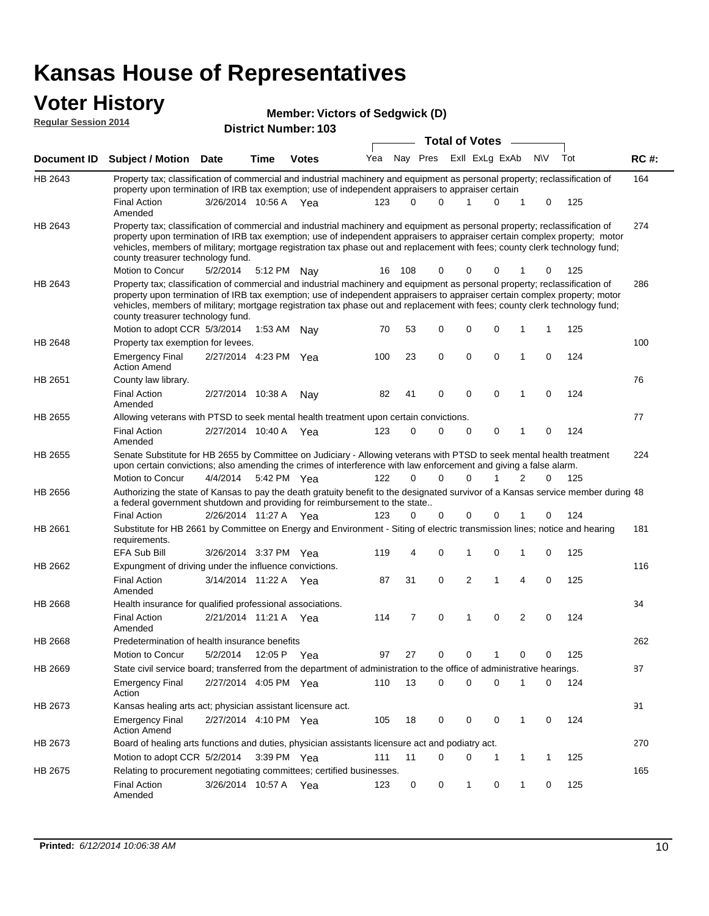#### **Voter History Regular Session 2014**

|  |  | <b>Member: Victors of Sedgwick (D)</b> |  |
|--|--|----------------------------------------|--|
|--|--|----------------------------------------|--|

|             |                                                                                                                                                                                                                                                                                                                                                                                                                               |                       |             | טטו וישעווווערו. ויט |     |       | <b>Total of Votes</b> |                |             |                |     |     |             |
|-------------|-------------------------------------------------------------------------------------------------------------------------------------------------------------------------------------------------------------------------------------------------------------------------------------------------------------------------------------------------------------------------------------------------------------------------------|-----------------------|-------------|----------------------|-----|-------|-----------------------|----------------|-------------|----------------|-----|-----|-------------|
| Document ID | <b>Subject / Motion Date</b>                                                                                                                                                                                                                                                                                                                                                                                                  |                       | <b>Time</b> | <b>Votes</b>         | Yea |       | Nay Pres              | Exll ExLg ExAb |             |                | N\V | Tot | <b>RC#:</b> |
| HB 2643     | Property tax; classification of commercial and industrial machinery and equipment as personal property; reclassification of<br>property upon termination of IRB tax exemption; use of independent appraisers to appraiser certain                                                                                                                                                                                             |                       |             |                      |     |       |                       |                |             |                |     |     | 164         |
|             | <b>Final Action</b><br>Amended                                                                                                                                                                                                                                                                                                                                                                                                | 3/26/2014 10:56 A Yea |             |                      | 123 | 0     | 0                     | 1              | 0           | 1              | 0   | 125 |             |
| HB 2643     | Property tax; classification of commercial and industrial machinery and equipment as personal property; reclassification of<br>property upon termination of IRB tax exemption; use of independent appraisers to appraiser certain complex property; motor<br>vehicles, members of military; mortgage registration tax phase out and replacement with fees; county clerk technology fund;<br>county treasurer technology fund. |                       |             |                      |     |       |                       |                |             |                |     |     | 274         |
|             | Motion to Concur                                                                                                                                                                                                                                                                                                                                                                                                              | 5/2/2014              |             | 5:12 PM Nay          | 16  | - 108 | 0                     | 0              | 0           | 1              | 0   | 125 |             |
| HB 2643     | Property tax; classification of commercial and industrial machinery and equipment as personal property; reclassification of<br>property upon termination of IRB tax exemption; use of independent appraisers to appraiser certain complex property; motor<br>vehicles, members of military; mortgage registration tax phase out and replacement with fees; county clerk technology fund;<br>county treasurer technology fund. |                       |             |                      |     |       |                       |                |             |                |     |     | 286         |
|             | Motion to adopt CCR 5/3/2014                                                                                                                                                                                                                                                                                                                                                                                                  |                       | 1:53 AM     | Nay                  | 70  | 53    | 0                     | 0              | $\mathbf 0$ | 1              | 1   | 125 |             |
| HB 2648     | Property tax exemption for levees.                                                                                                                                                                                                                                                                                                                                                                                            |                       |             |                      |     |       |                       |                |             |                |     |     | 100         |
|             | <b>Emergency Final</b><br><b>Action Amend</b>                                                                                                                                                                                                                                                                                                                                                                                 | 2/27/2014 4:23 PM Yea |             |                      | 100 | 23    | 0                     | $\mathbf 0$    | $\mathbf 0$ | 1              | 0   | 124 |             |
| HB 2651     | County law library.                                                                                                                                                                                                                                                                                                                                                                                                           |                       |             |                      |     |       |                       |                |             |                |     |     | 76          |
|             | <b>Final Action</b><br>Amended                                                                                                                                                                                                                                                                                                                                                                                                | 2/27/2014 10:38 A     |             | Nay                  | 82  | 41    | 0                     | 0              | 0           | 1              | 0   | 124 |             |
| HB 2655     | Allowing veterans with PTSD to seek mental health treatment upon certain convictions.                                                                                                                                                                                                                                                                                                                                         |                       |             |                      |     |       |                       |                |             |                |     |     | 77          |
|             | <b>Final Action</b><br>Amended                                                                                                                                                                                                                                                                                                                                                                                                | 2/27/2014 10:40 A     |             | Yea                  | 123 | 0     | 0                     | $\mathbf 0$    | 0           | 1              | 0   | 124 |             |
| HB 2655     | Senate Substitute for HB 2655 by Committee on Judiciary - Allowing veterans with PTSD to seek mental health treatment<br>upon certain convictions; also amending the crimes of interference with law enforcement and giving a false alarm.                                                                                                                                                                                    |                       |             |                      |     |       |                       |                |             |                |     |     | 224         |
|             | Motion to Concur                                                                                                                                                                                                                                                                                                                                                                                                              | 4/4/2014              |             | 5:42 PM Yea          | 122 | 0     | 0                     | $\Omega$       |             | 2              | 0   | 125 |             |
| HB 2656     | Authorizing the state of Kansas to pay the death gratuity benefit to the designated survivor of a Kansas service member during 48<br>a federal government shutdown and providing for reimbursement to the state                                                                                                                                                                                                               |                       |             |                      |     |       |                       |                |             |                |     |     |             |
|             | <b>Final Action</b>                                                                                                                                                                                                                                                                                                                                                                                                           | 2/26/2014 11:27 A Yea |             |                      | 123 | 0     | 0                     | $\mathbf 0$    | 0           | 1              | 0   | 124 |             |
| HB 2661     | Substitute for HB 2661 by Committee on Energy and Environment - Siting of electric transmission lines; notice and hearing<br>requirements.                                                                                                                                                                                                                                                                                    |                       |             |                      |     |       |                       |                |             |                |     |     | 181         |
|             | EFA Sub Bill                                                                                                                                                                                                                                                                                                                                                                                                                  | 3/26/2014 3:37 PM Yea |             |                      | 119 | 4     | 0                     | 1              | $\mathbf 0$ | 1              | 0   | 125 |             |
| HB 2662     | Expungment of driving under the influence convictions.<br><b>Final Action</b><br>Amended                                                                                                                                                                                                                                                                                                                                      | 3/14/2014 11:22 A Yea |             |                      | 87  | 31    | 0                     | $\overline{2}$ | 1           | 4              | 0   | 125 | 116         |
| HB 2668     | Health insurance for qualified professional associations.                                                                                                                                                                                                                                                                                                                                                                     |                       |             |                      |     |       |                       |                |             |                |     |     | 34          |
|             | <b>Final Action</b><br>Amended                                                                                                                                                                                                                                                                                                                                                                                                | 2/21/2014 11:21 A Yea |             |                      | 114 | 7     | 0                     | 1              | $\mathbf 0$ | $\overline{2}$ | 0   | 124 |             |
| HB 2668     | Predetermination of health insurance benefits                                                                                                                                                                                                                                                                                                                                                                                 |                       |             |                      |     |       |                       |                |             |                |     |     | 262         |
|             | Motion to Concur                                                                                                                                                                                                                                                                                                                                                                                                              | 5/2/2014              |             | 12:05 P Yea          | 97  | 27    | 0                     | 0              | 1           | 0              | 0   | 125 |             |
| HB 2669     | State civil service board; transferred from the department of administration to the office of administrative hearings.                                                                                                                                                                                                                                                                                                        |                       |             |                      |     |       |                       |                |             |                |     |     | 87          |
|             | <b>Emergency Final</b><br>Action                                                                                                                                                                                                                                                                                                                                                                                              | 2/27/2014 4:05 PM Yea |             |                      | 110 | 13    | 0                     | $\mathbf 0$    | 0           | 1              | 0   | 124 |             |
| HB 2673     | Kansas healing arts act; physician assistant licensure act.                                                                                                                                                                                                                                                                                                                                                                   |                       |             |                      |     |       |                       |                |             |                |     |     | 91          |
|             | <b>Emergency Final</b><br><b>Action Amend</b>                                                                                                                                                                                                                                                                                                                                                                                 | 2/27/2014 4:10 PM Yea |             |                      | 105 | 18    | 0                     | 0              | 0           | 1              | 0   | 124 |             |
| HB 2673     | Board of healing arts functions and duties, physician assistants licensure act and podiatry act.                                                                                                                                                                                                                                                                                                                              |                       |             |                      |     |       |                       |                |             |                |     |     | 270         |
|             | Motion to adopt CCR 5/2/2014 3:39 PM Yea                                                                                                                                                                                                                                                                                                                                                                                      |                       |             |                      | 111 | 11    | 0                     | 0              |             | 1              | 1   | 125 |             |
| HB 2675     | Relating to procurement negotiating committees; certified businesses.                                                                                                                                                                                                                                                                                                                                                         |                       |             |                      |     |       |                       |                |             |                |     |     | 165         |
|             | <b>Final Action</b><br>Amended                                                                                                                                                                                                                                                                                                                                                                                                | 3/26/2014 10:57 A Yea |             |                      | 123 | 0     | 0                     | 1              | 0           | 1              | 0   | 125 |             |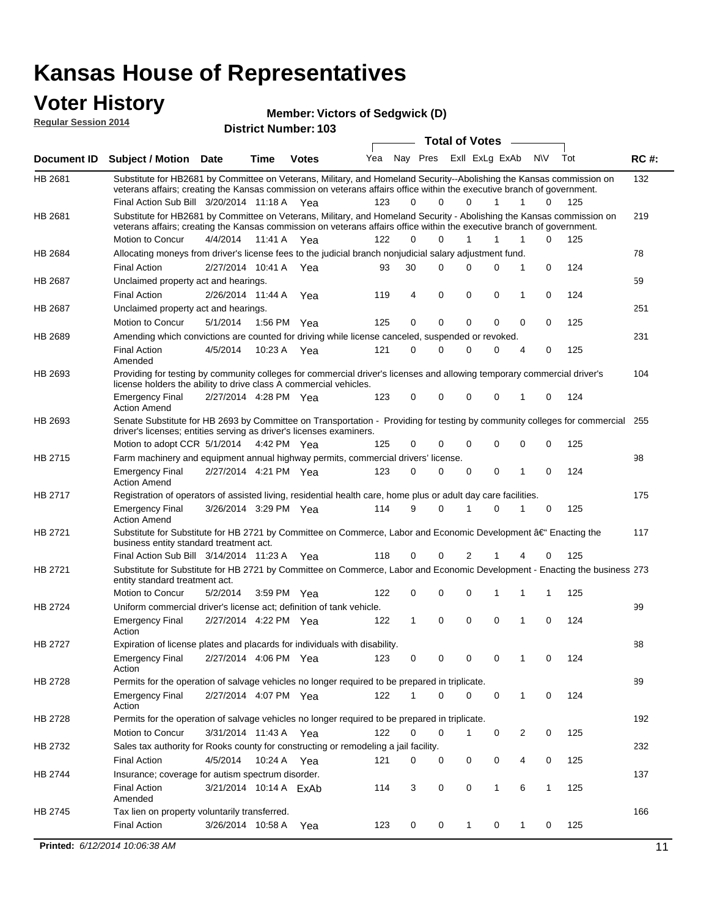### **Voter History**

**Regular Session 2014**

#### **Member: Victors of Sedgwick (D)**

|         |                                                                                                                                                                                                                                                                                                                    |                        |             |              |            |               |                         | <b>Total of Votes</b> |                              |             |               |            |             |
|---------|--------------------------------------------------------------------------------------------------------------------------------------------------------------------------------------------------------------------------------------------------------------------------------------------------------------------|------------------------|-------------|--------------|------------|---------------|-------------------------|-----------------------|------------------------------|-------------|---------------|------------|-------------|
|         | Document ID Subject / Motion Date                                                                                                                                                                                                                                                                                  |                        | Time        | <b>Votes</b> | Yea        | Nay Pres      |                         | Exll ExLg ExAb        |                              |             | N\V           | Tot        | <b>RC#:</b> |
| HB 2681 | Substitute for HB2681 by Committee on Veterans, Military, and Homeland Security--Abolishing the Kansas commission on<br>veterans affairs; creating the Kansas commission on veterans affairs office within the executive branch of government.                                                                     |                        |             |              |            |               |                         |                       |                              |             |               |            | 132         |
| HB 2681 | Final Action Sub Bill 3/20/2014 11:18 A Yea<br>Substitute for HB2681 by Committee on Veterans, Military, and Homeland Security - Abolishing the Kansas commission on<br>veterans affairs; creating the Kansas commission on veterans affairs office within the executive branch of government.<br>Motion to Concur | 4/4/2014 11:41 A       |             | Yea          | 123<br>122 | 0<br>$\Omega$ | $\mathbf 0$<br>$\Omega$ | $\Omega$<br>1         | $\mathbf{1}$<br>$\mathbf{1}$ | 1<br>1      | 0<br>$\Omega$ | 125<br>125 | 219         |
| HB 2684 | Allocating moneys from driver's license fees to the judicial branch nonjudicial salary adjustment fund.                                                                                                                                                                                                            |                        |             |              |            |               |                         |                       |                              |             |               |            | 78          |
|         | <b>Final Action</b>                                                                                                                                                                                                                                                                                                | 2/27/2014 10:41 A Yea  |             |              | 93         | 30            | $\Omega$                | 0                     | $\Omega$                     | 1           | $\mathbf 0$   | 124        |             |
| HB 2687 | Unclaimed property act and hearings.                                                                                                                                                                                                                                                                               |                        |             |              |            |               |                         |                       |                              |             |               |            | 59          |
|         | <b>Final Action</b>                                                                                                                                                                                                                                                                                                | 2/26/2014 11:44 A      |             | Yea          | 119        | 4             | $\mathbf 0$             | $\mathbf 0$           | $\mathbf 0$                  | 1           | $\mathbf 0$   | 124        |             |
| HB 2687 | Unclaimed property act and hearings.                                                                                                                                                                                                                                                                               |                        |             |              |            |               |                         |                       |                              |             |               |            | 251         |
|         | Motion to Concur                                                                                                                                                                                                                                                                                                   | 5/1/2014               | 1:56 PM Yea |              | 125        | $\mathbf 0$   | $\mathbf 0$             | $\mathbf 0$           | $\Omega$                     | $\mathbf 0$ | 0             | 125        |             |
| HB 2689 | Amending which convictions are counted for driving while license canceled, suspended or revoked.                                                                                                                                                                                                                   |                        |             |              |            |               |                         |                       |                              |             |               |            | 231         |
|         | <b>Final Action</b><br>Amended                                                                                                                                                                                                                                                                                     | 4/5/2014               | 10:23 A Yea |              | 121        | 0             | $\Omega$                | $\Omega$              | $\Omega$                     | 4           | 0             | 125        |             |
| HB 2693 | Providing for testing by community colleges for commercial driver's licenses and allowing temporary commercial driver's<br>license holders the ability to drive class A commercial vehicles.                                                                                                                       |                        |             |              |            |               |                         |                       |                              |             |               |            | 104         |
|         | <b>Emergency Final</b><br><b>Action Amend</b>                                                                                                                                                                                                                                                                      | 2/27/2014 4:28 PM Yea  |             |              | 123        | $\mathbf 0$   | $\mathbf 0$             | $\mathbf 0$           | $\mathbf 0$                  | 1           | 0             | 124        |             |
| HB 2693 | Senate Substitute for HB 2693 by Committee on Transportation - Providing for testing by community colleges for commercial 255<br>driver's licenses; entities serving as driver's licenses examiners.                                                                                                               |                        |             |              |            |               |                         |                       |                              |             |               |            |             |
|         | Motion to adopt CCR 5/1/2014 4:42 PM Yea                                                                                                                                                                                                                                                                           |                        |             |              | 125        | 0             | 0                       | 0                     | 0                            | $\mathbf 0$ | 0             | 125        |             |
| HB 2715 | Farm machinery and equipment annual highway permits, commercial drivers' license.                                                                                                                                                                                                                                  |                        |             |              |            |               |                         |                       |                              |             |               |            | 98          |
|         | <b>Emergency Final</b><br><b>Action Amend</b>                                                                                                                                                                                                                                                                      | 2/27/2014 4:21 PM Yea  |             |              | 123        | 0             | $\Omega$                | $\mathbf 0$           | 0                            | 1           | 0             | 124        |             |
| HB 2717 | Registration of operators of assisted living, residential health care, home plus or adult day care facilities.                                                                                                                                                                                                     |                        |             |              |            |               |                         |                       |                              |             |               |            | 175         |
|         | <b>Emergency Final</b><br><b>Action Amend</b>                                                                                                                                                                                                                                                                      | 3/26/2014 3:29 PM Yea  |             |              | 114        | 9             | $\Omega$                | 1                     | 0                            | 1           | 0             | 125        |             |
| HB 2721 | Substitute for Substitute for HB 2721 by Committee on Commerce, Labor and Economic Development †Enacting the<br>business entity standard treatment act.                                                                                                                                                            |                        |             |              |            |               |                         |                       |                              |             |               |            | 117         |
|         | Final Action Sub Bill 3/14/2014 11:23 A Yea                                                                                                                                                                                                                                                                        |                        |             |              | 118        | 0             | 0                       | 2                     |                              | 4           | 0             | 125        |             |
| HB 2721 | Substitute for Substitute for HB 2721 by Committee on Commerce, Labor and Economic Development - Enacting the business 273<br>entity standard treatment act.                                                                                                                                                       |                        |             |              |            |               |                         |                       |                              |             |               |            |             |
|         | Motion to Concur                                                                                                                                                                                                                                                                                                   | 5/2/2014               | 3:59 PM Yea |              | 122        | 0             | 0                       | 0                     | 1                            | 1           | 1             | 125        |             |
| HB 2724 | Uniform commercial driver's license act; definition of tank vehicle.<br><b>Emergency Final</b>                                                                                                                                                                                                                     | 2/27/2014 4:22 PM Yea  |             |              | 122        | $\mathbf{1}$  | $\mathbf 0$             | $\mathbf 0$           | $\mathbf 0$                  | 1           | 0             | 124        | 99          |
|         | Action                                                                                                                                                                                                                                                                                                             |                        |             |              |            |               |                         |                       |                              |             |               |            |             |
| HB 2727 | Expiration of license plates and placards for individuals with disability.                                                                                                                                                                                                                                         |                        |             |              |            |               |                         |                       |                              |             |               |            | 88          |
|         | Emergency Final<br>Action                                                                                                                                                                                                                                                                                          | 2/27/2014 4:06 PM Yea  |             |              | 123        | 0             | 0                       | 0                     | 0                            | 1           | 0             | 124        |             |
| HB 2728 | Permits for the operation of salvage vehicles no longer required to be prepared in triplicate.                                                                                                                                                                                                                     |                        |             |              |            |               |                         |                       |                              |             |               |            | 89          |
|         | <b>Emergency Final</b><br>Action                                                                                                                                                                                                                                                                                   | 2/27/2014 4:07 PM Yea  |             |              | 122        | 1             | 0                       | 0                     | 0                            | 1           | 0             | 124        |             |
| HB 2728 | Permits for the operation of salvage vehicles no longer required to be prepared in triplicate.                                                                                                                                                                                                                     |                        |             |              |            |               |                         |                       |                              |             |               |            | 192         |
|         | Motion to Concur                                                                                                                                                                                                                                                                                                   | 3/31/2014 11:43 A Yea  |             |              | 122        | 0             | 0                       | 1                     | 0                            | 2           | 0             | 125        |             |
| HB 2732 | Sales tax authority for Rooks county for constructing or remodeling a jail facility.                                                                                                                                                                                                                               |                        |             |              |            |               |                         |                       |                              |             |               |            | 232         |
|         | <b>Final Action</b>                                                                                                                                                                                                                                                                                                | 4/5/2014 10:24 A Yea   |             |              | 121        | 0             | 0                       | 0                     | 0                            | 4           | 0             | 125        |             |
| HB 2744 | Insurance; coverage for autism spectrum disorder.                                                                                                                                                                                                                                                                  |                        |             |              |            |               |                         |                       |                              |             |               |            | 137         |
|         | <b>Final Action</b>                                                                                                                                                                                                                                                                                                | 3/21/2014 10:14 A ExAb |             |              | 114        | 3             | 0                       | 0                     | $\mathbf{1}$                 | 6           | $\mathbf{1}$  | 125        |             |
| HB 2745 | Amended<br>Tax lien on property voluntarily transferred.                                                                                                                                                                                                                                                           |                        |             |              |            |               |                         |                       |                              |             |               |            | 166         |
|         | <b>Final Action</b>                                                                                                                                                                                                                                                                                                | 3/26/2014 10:58 A      |             | Yea          | 123        | 0             | 0                       | 1                     | 0                            | 1           | 0             | 125        |             |
|         |                                                                                                                                                                                                                                                                                                                    |                        |             |              |            |               |                         |                       |                              |             |               |            |             |
|         | Printed: 6/12/2014 10:06:38 AM                                                                                                                                                                                                                                                                                     |                        |             |              |            |               |                         |                       |                              |             |               |            | 11          |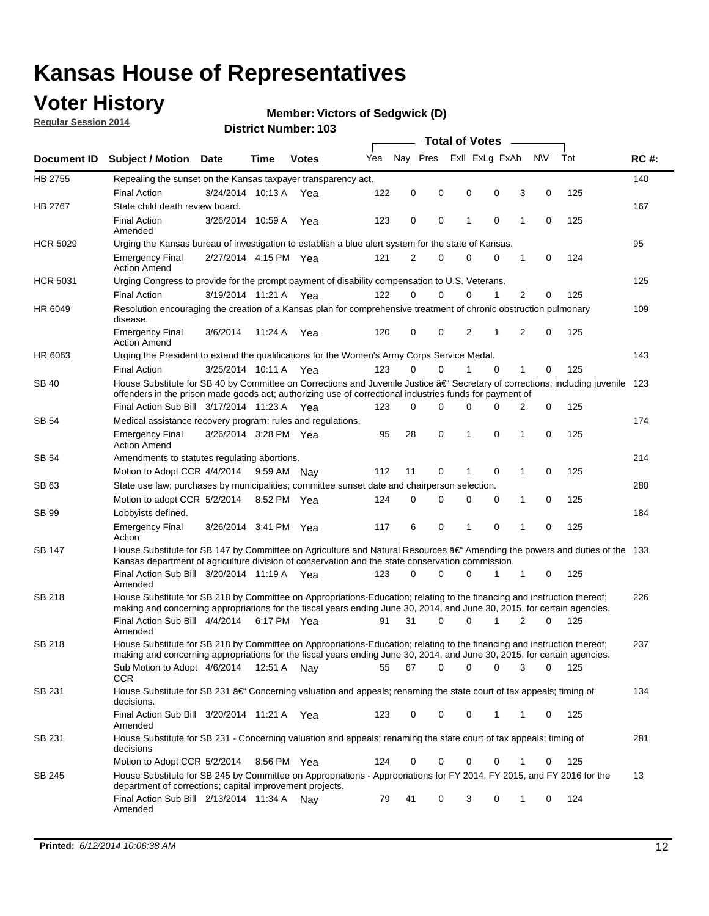## **Voter History**

**Regular Session 2014**

#### **Member: Victors of Sedgwick (D)**

|                    |                                                                                                                                                                                                                                      |                       |             |              |     |          |          | <b>Total of Votes</b> |   |                |                |             |     |             |
|--------------------|--------------------------------------------------------------------------------------------------------------------------------------------------------------------------------------------------------------------------------------|-----------------------|-------------|--------------|-----|----------|----------|-----------------------|---|----------------|----------------|-------------|-----|-------------|
| <b>Document ID</b> | <b>Subject / Motion Date</b>                                                                                                                                                                                                         |                       | Time        | <b>Votes</b> | Yea | Nav Pres |          |                       |   | Exll ExLg ExAb | <b>NV</b>      |             | Tot | <b>RC#:</b> |
| HB 2755            | Repealing the sunset on the Kansas taxpayer transparency act.                                                                                                                                                                        |                       |             |              |     |          |          |                       |   |                |                |             |     | 140         |
|                    | <b>Final Action</b>                                                                                                                                                                                                                  | 3/24/2014 10:13 A     |             | Yea          | 122 | 0        | 0        | 0                     |   | 0              | 3              | 0           | 125 |             |
| HB 2767            | State child death review board.                                                                                                                                                                                                      |                       |             |              |     |          |          |                       |   |                |                |             |     | 167         |
|                    | <b>Final Action</b><br>Amended                                                                                                                                                                                                       | 3/26/2014 10:59 A     |             | Yea          | 123 | 0        | 0        | 1                     |   | $\mathbf 0$    | 1              | 0           | 125 |             |
| <b>HCR 5029</b>    | Urging the Kansas bureau of investigation to establish a blue alert system for the state of Kansas.                                                                                                                                  |                       |             |              |     |          |          |                       |   |                |                |             |     | 95          |
|                    | <b>Emergency Final</b><br><b>Action Amend</b>                                                                                                                                                                                        | 2/27/2014 4:15 PM Yea |             |              | 121 | 2        | 0        | 0                     |   | 0              | 1              | 0           | 124 |             |
| <b>HCR 5031</b>    | Urging Congress to provide for the prompt payment of disability compensation to U.S. Veterans.                                                                                                                                       |                       |             |              |     |          |          |                       |   |                |                |             |     | 125         |
|                    | <b>Final Action</b>                                                                                                                                                                                                                  | 3/19/2014 11:21 A Yea |             |              | 122 | $\Omega$ | $\Omega$ | 0                     |   | 1              | 2              | 0           | 125 |             |
| HR 6049            | Resolution encouraging the creation of a Kansas plan for comprehensive treatment of chronic obstruction pulmonary<br>disease.                                                                                                        |                       |             |              |     |          |          |                       |   |                |                |             |     | 109         |
|                    | <b>Emergency Final</b><br><b>Action Amend</b>                                                                                                                                                                                        | 3/6/2014              | 11:24 A     | Yea          | 120 | 0        | 0        | 2                     | 1 |                | $\overline{2}$ | $\mathbf 0$ | 125 |             |
| HR 6063            | Urging the President to extend the qualifications for the Women's Army Corps Service Medal.                                                                                                                                          |                       |             |              |     |          |          |                       |   |                |                |             |     | 143         |
|                    | <b>Final Action</b>                                                                                                                                                                                                                  | 3/25/2014 10:11 A Yea |             |              | 123 | $\Omega$ | $\Omega$ | 1                     |   | $\Omega$       | 1              | 0           | 125 |             |
| SB 40              | House Substitute for SB 40 by Committee on Corrections and Juvenile Justice †Secretary of corrections; including juvenile<br>offenders in the prison made goods act; authorizing use of correctional industries funds for payment of |                       |             |              |     |          |          |                       |   |                |                |             |     | 123         |
|                    | Final Action Sub Bill 3/17/2014 11:23 A Yea                                                                                                                                                                                          |                       |             |              | 123 | 0        | 0        | 0                     |   | $\Omega$       | 2              | 0           | 125 |             |
| SB 54              | Medical assistance recovery program; rules and regulations.                                                                                                                                                                          |                       |             |              |     |          |          |                       |   |                |                |             |     | 174         |
|                    | <b>Emergency Final</b><br><b>Action Amend</b>                                                                                                                                                                                        | 3/26/2014 3:28 PM Yea |             |              | 95  | 28       | 0        | 1                     |   | 0              | 1              | 0           | 125 |             |
| SB 54              | Amendments to statutes regulating abortions.                                                                                                                                                                                         |                       |             |              |     |          |          |                       |   |                |                |             |     | 214         |
|                    | Motion to Adopt CCR 4/4/2014                                                                                                                                                                                                         |                       | 9:59 AM Nay |              | 112 | 11       | 0        |                       |   | $\mathbf 0$    | 1              | 0           | 125 |             |
| SB 63              | State use law; purchases by municipalities; committee sunset date and chairperson selection.                                                                                                                                         |                       |             |              |     |          |          |                       |   |                |                |             |     | 280         |
|                    | Motion to adopt CCR 5/2/2014                                                                                                                                                                                                         |                       | 8:52 PM Yea |              | 124 | 0        | 0        | 0                     |   | 0              | 1              | 0           | 125 |             |
| SB 99              | Lobbyists defined.                                                                                                                                                                                                                   |                       |             |              |     |          |          |                       |   |                |                |             |     | 184         |
|                    | <b>Emergency Final</b><br>Action                                                                                                                                                                                                     | 3/26/2014 3:41 PM Yea |             |              | 117 | 6        | 0        | 1                     |   | 0              | 1              | 0           | 125 |             |
| SB 147             | House Substitute for SB 147 by Committee on Agriculture and Natural Resources †Amending the powers and duties of the 133<br>Kansas department of agriculture division of conservation and the state conservation commission.         |                       |             |              |     |          |          |                       |   |                |                |             |     |             |
|                    | Final Action Sub Bill 3/20/2014 11:19 A Yea<br>Amended                                                                                                                                                                               |                       |             |              | 123 | 0        | $\Omega$ | 0                     |   | 1              | 1              | 0           | 125 |             |
| <b>SB 218</b>      | House Substitute for SB 218 by Committee on Appropriations-Education; relating to the financing and instruction thereof;                                                                                                             |                       |             |              |     |          |          |                       |   |                |                |             |     | 226         |
|                    | making and concerning appropriations for the fiscal years ending June 30, 2014, and June 30, 2015, for certain agencies.<br>Final Action Sub Bill 4/4/2014<br>Amended                                                                |                       | 6:17 PM Yea |              | 91  | 31       | $\Omega$ | 0                     |   | 1              | $\overline{2}$ | $\Omega$    | 125 |             |
| <b>SB 218</b>      | House Substitute for SB 218 by Committee on Appropriations-Education; relating to the financing and instruction thereof;                                                                                                             |                       |             |              |     |          |          |                       |   |                |                |             |     | 237         |
|                    | making and concerning appropriations for the fiscal years ending June 30, 2014, and June 30, 2015, for certain agencies.                                                                                                             |                       |             |              |     |          |          |                       |   |                |                |             |     |             |
|                    | Sub Motion to Adopt 4/6/2014 12:51 A Nay<br><b>CCR</b>                                                                                                                                                                               |                       |             |              | 55  | 67       | 0        | 0                     |   | 0              | 3              | 0           | 125 |             |
| SB 231             | House Substitute for SB 231 †Concerning valuation and appeals; renaming the state court of tax appeals; timing of<br>decisions.                                                                                                      |                       |             |              |     |          |          |                       |   |                |                |             |     | 134         |
|                    | Final Action Sub Bill 3/20/2014 11:21 A Yea<br>Amended                                                                                                                                                                               |                       |             |              | 123 | 0        | 0        | 0                     |   | 1              | 1              | 0           | 125 |             |
| SB 231             | House Substitute for SB 231 - Concerning valuation and appeals; renaming the state court of tax appeals; timing of<br>decisions                                                                                                      |                       |             |              |     |          |          |                       |   |                |                |             |     | 281         |
|                    | Motion to Adopt CCR 5/2/2014                                                                                                                                                                                                         |                       | 8:56 PM Yea |              | 124 | 0        | 0        | 0                     |   | $\mathbf 0$    | 1              | 0           | 125 |             |
| SB 245             | House Substitute for SB 245 by Committee on Appropriations - Appropriations for FY 2014, FY 2015, and FY 2016 for the<br>department of corrections; capital improvement projects.                                                    |                       |             |              |     |          |          |                       |   |                |                |             |     | 13          |
|                    | Final Action Sub Bill 2/13/2014 11:34 A Nay<br>Amended                                                                                                                                                                               |                       |             |              | 79  | 41       | 0        | 3                     |   | 0              | 1              | 0           | 124 |             |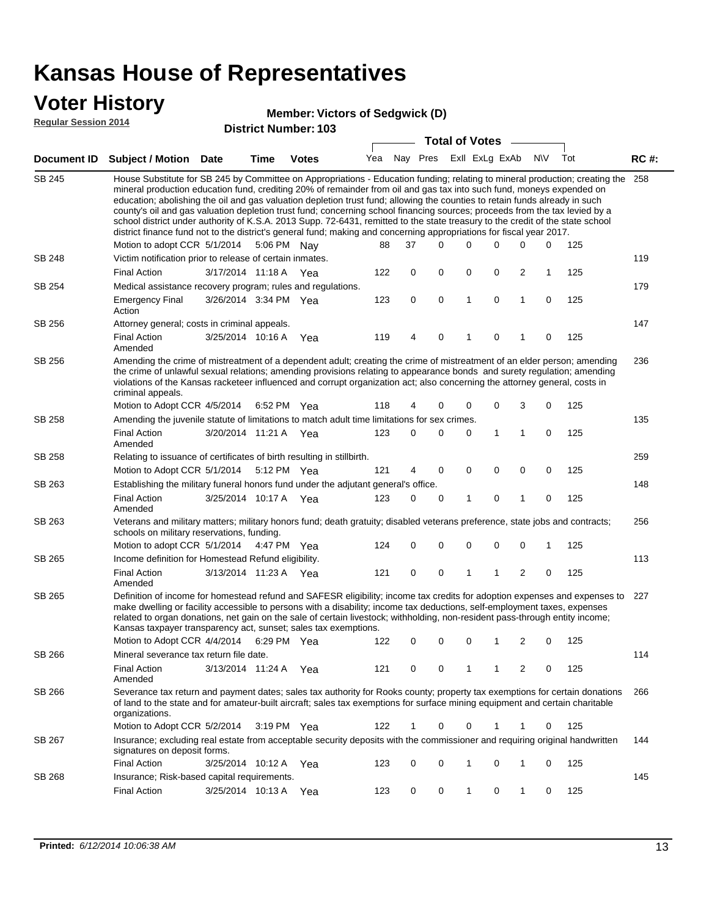#### **Voter History**

#### **Member: Victors of Sedgwick (D)**

**Regular Session 2014**

|               |                                                                                                                                                                                                                                                                                                                                                                                                                                                                                                                                                                                                                                                                                                                                                                                                               |                       |      | DISTRICT MAILIDEL, 102 |     |    |          |          | <b>Total of Votes</b> |             |                |             |     |             |
|---------------|---------------------------------------------------------------------------------------------------------------------------------------------------------------------------------------------------------------------------------------------------------------------------------------------------------------------------------------------------------------------------------------------------------------------------------------------------------------------------------------------------------------------------------------------------------------------------------------------------------------------------------------------------------------------------------------------------------------------------------------------------------------------------------------------------------------|-----------------------|------|------------------------|-----|----|----------|----------|-----------------------|-------------|----------------|-------------|-----|-------------|
|               | Document ID Subject / Motion Date                                                                                                                                                                                                                                                                                                                                                                                                                                                                                                                                                                                                                                                                                                                                                                             |                       | Time | <b>Votes</b>           | Yea |    | Nay Pres |          | Exll ExLg ExAb        |             |                | <b>NV</b>   | Tot | <b>RC#:</b> |
| <b>SB 245</b> | House Substitute for SB 245 by Committee on Appropriations - Education funding; relating to mineral production; creating the<br>mineral production education fund, crediting 20% of remainder from oil and gas tax into such fund, moneys expended on<br>education; abolishing the oil and gas valuation depletion trust fund; allowing the counties to retain funds already in such<br>county's oil and gas valuation depletion trust fund; concerning school financing sources; proceeds from the tax levied by a<br>school district under authority of K.S.A. 2013 Supp. 72-6431, remitted to the state treasury to the credit of the state school<br>district finance fund not to the district's general fund; making and concerning appropriations for fiscal year 2017.<br>Motion to adopt CCR 5/1/2014 |                       |      | 5:06 PM Nay            | 88  | 37 |          | $\Omega$ | 0                     | $\Omega$    | 0              | 0           | 125 | 258         |
| <b>SB 248</b> | Victim notification prior to release of certain inmates.                                                                                                                                                                                                                                                                                                                                                                                                                                                                                                                                                                                                                                                                                                                                                      |                       |      |                        |     |    |          |          |                       |             |                |             |     | 119         |
|               | <b>Final Action</b>                                                                                                                                                                                                                                                                                                                                                                                                                                                                                                                                                                                                                                                                                                                                                                                           | 3/17/2014 11:18 A Yea |      |                        | 122 | 0  |          | 0        | 0                     | 0           | 2              | $\mathbf 1$ | 125 |             |
| SB 254        | Medical assistance recovery program; rules and regulations.                                                                                                                                                                                                                                                                                                                                                                                                                                                                                                                                                                                                                                                                                                                                                   |                       |      |                        |     |    |          |          |                       |             |                |             |     | 179         |
|               | <b>Emergency Final</b><br>Action                                                                                                                                                                                                                                                                                                                                                                                                                                                                                                                                                                                                                                                                                                                                                                              | 3/26/2014 3:34 PM Yea |      |                        | 123 | 0  |          | 0        | 1                     | $\mathbf 0$ | $\mathbf{1}$   | $\mathbf 0$ | 125 |             |
| SB 256        | Attorney general; costs in criminal appeals.                                                                                                                                                                                                                                                                                                                                                                                                                                                                                                                                                                                                                                                                                                                                                                  |                       |      |                        |     |    |          |          |                       |             |                |             |     | 147         |
|               | <b>Final Action</b><br>Amended                                                                                                                                                                                                                                                                                                                                                                                                                                                                                                                                                                                                                                                                                                                                                                                | 3/25/2014 10:16 A     |      | Yea                    | 119 | 4  |          | 0        | 1                     | 0           | 1              | 0           | 125 |             |
| SB 256        | Amending the crime of mistreatment of a dependent adult; creating the crime of mistreatment of an elder person; amending<br>the crime of unlawful sexual relations; amending provisions relating to appearance bonds and surety regulation; amending<br>violations of the Kansas racketeer influenced and corrupt organization act; also concerning the attorney general, costs in<br>criminal appeals.                                                                                                                                                                                                                                                                                                                                                                                                       |                       |      |                        |     |    |          |          |                       |             |                |             |     | 236         |
|               | Motion to Adopt CCR 4/5/2014 6:52 PM Yea                                                                                                                                                                                                                                                                                                                                                                                                                                                                                                                                                                                                                                                                                                                                                                      |                       |      |                        | 118 | 4  |          | 0        | 0                     | 0           | 3              | 0           | 125 |             |
| SB 258        | Amending the juvenile statute of limitations to match adult time limitations for sex crimes.                                                                                                                                                                                                                                                                                                                                                                                                                                                                                                                                                                                                                                                                                                                  |                       |      |                        |     |    |          |          |                       |             |                |             |     | 135         |
|               | <b>Final Action</b><br>Amended                                                                                                                                                                                                                                                                                                                                                                                                                                                                                                                                                                                                                                                                                                                                                                                | 3/20/2014 11:21 A Yea |      |                        | 123 | 0  |          | 0        | 0                     | 1           | 1              | 0           | 125 |             |
| SB 258        | Relating to issuance of certificates of birth resulting in stillbirth.                                                                                                                                                                                                                                                                                                                                                                                                                                                                                                                                                                                                                                                                                                                                        |                       |      |                        |     |    |          |          |                       |             |                |             |     | 259         |
|               | Motion to Adopt CCR 5/1/2014 5:12 PM Yea                                                                                                                                                                                                                                                                                                                                                                                                                                                                                                                                                                                                                                                                                                                                                                      |                       |      |                        | 121 | 4  |          | 0        | 0                     | $\mathbf 0$ | 0              | $\mathbf 0$ | 125 |             |
| SB 263        | Establishing the military funeral honors fund under the adjutant general's office.                                                                                                                                                                                                                                                                                                                                                                                                                                                                                                                                                                                                                                                                                                                            |                       |      |                        |     |    |          |          |                       |             |                |             |     | 148         |
|               | <b>Final Action</b><br>Amended                                                                                                                                                                                                                                                                                                                                                                                                                                                                                                                                                                                                                                                                                                                                                                                | 3/25/2014 10:17 A Yea |      |                        | 123 | 0  |          | 0        | 1                     | 0           | $\mathbf{1}$   | $\mathbf 0$ | 125 |             |
| SB 263        | Veterans and military matters; military honors fund; death gratuity; disabled veterans preference, state jobs and contracts;<br>schools on military reservations, funding.<br>Motion to adopt CCR 5/1/2014 4:47 PM Yea                                                                                                                                                                                                                                                                                                                                                                                                                                                                                                                                                                                        |                       |      |                        | 124 | 0  |          | 0        | 0                     | 0           | 0              | 1           | 125 | 256         |
| SB 265        | Income definition for Homestead Refund eligibility.                                                                                                                                                                                                                                                                                                                                                                                                                                                                                                                                                                                                                                                                                                                                                           |                       |      |                        |     |    |          |          |                       |             |                |             |     | 113         |
|               | <b>Final Action</b>                                                                                                                                                                                                                                                                                                                                                                                                                                                                                                                                                                                                                                                                                                                                                                                           | 3/13/2014 11:23 A Yea |      |                        | 121 | 0  |          | 0        | 1                     | 1           | $\overline{c}$ | 0           | 125 |             |
|               | Amended                                                                                                                                                                                                                                                                                                                                                                                                                                                                                                                                                                                                                                                                                                                                                                                                       |                       |      |                        |     |    |          |          |                       |             |                |             |     |             |
| SB 265        | Definition of income for homestead refund and SAFESR eligibility; income tax credits for adoption expenses and expenses to<br>make dwelling or facility accessible to persons with a disability; income tax deductions, self-employment taxes, expenses<br>related to organ donations, net gain on the sale of certain livestock; withholding, non-resident pass-through entity income;<br>Kansas taxpayer transparency act, sunset; sales tax exemptions.<br>Motion to Adopt CCR 4/4/2014 6:29 PM Yea                                                                                                                                                                                                                                                                                                        |                       |      |                        | 122 | 0  |          | 0        | 0                     | 1           | 2              | 0           | 125 | 227         |
| SB 266        | Mineral severance tax return file date.                                                                                                                                                                                                                                                                                                                                                                                                                                                                                                                                                                                                                                                                                                                                                                       |                       |      |                        |     |    |          |          |                       |             |                |             |     | 114         |
|               | <b>Final Action</b><br>Amended                                                                                                                                                                                                                                                                                                                                                                                                                                                                                                                                                                                                                                                                                                                                                                                | 3/13/2014 11:24 A     |      | Yea                    | 121 | 0  |          | 0        | 1                     | 1           | 2              | 0           | 125 |             |
| SB 266        | Severance tax return and payment dates; sales tax authority for Rooks county; property tax exemptions for certain donations<br>of land to the state and for amateur-built aircraft; sales tax exemptions for surface mining equipment and certain charitable<br>organizations.                                                                                                                                                                                                                                                                                                                                                                                                                                                                                                                                |                       |      |                        |     |    |          |          |                       |             |                |             |     | 266         |
|               | Motion to Adopt CCR 5/2/2014                                                                                                                                                                                                                                                                                                                                                                                                                                                                                                                                                                                                                                                                                                                                                                                  |                       |      | $3:19 \text{ PM}$ Yea  | 122 | 1  |          | 0        | 0                     | 1           | 1              | 0           | 125 |             |
| SB 267        | Insurance; excluding real estate from acceptable security deposits with the commissioner and requiring original handwritten<br>signatures on deposit forms.                                                                                                                                                                                                                                                                                                                                                                                                                                                                                                                                                                                                                                                   |                       |      |                        |     |    |          |          |                       |             |                |             |     | 144         |
|               | <b>Final Action</b>                                                                                                                                                                                                                                                                                                                                                                                                                                                                                                                                                                                                                                                                                                                                                                                           | 3/25/2014 10:12 A     |      | Yea                    | 123 | 0  |          | 0        | 1                     | 0           | 1              | 0           | 125 |             |
| SB 268        | Insurance; Risk-based capital requirements.                                                                                                                                                                                                                                                                                                                                                                                                                                                                                                                                                                                                                                                                                                                                                                   |                       |      |                        |     |    |          |          |                       |             |                |             |     | 145         |
|               | <b>Final Action</b>                                                                                                                                                                                                                                                                                                                                                                                                                                                                                                                                                                                                                                                                                                                                                                                           | 3/25/2014 10:13 A     |      | Yea                    | 123 |    | 0        | 0        | 1                     | 0           | 1              | 0           | 125 |             |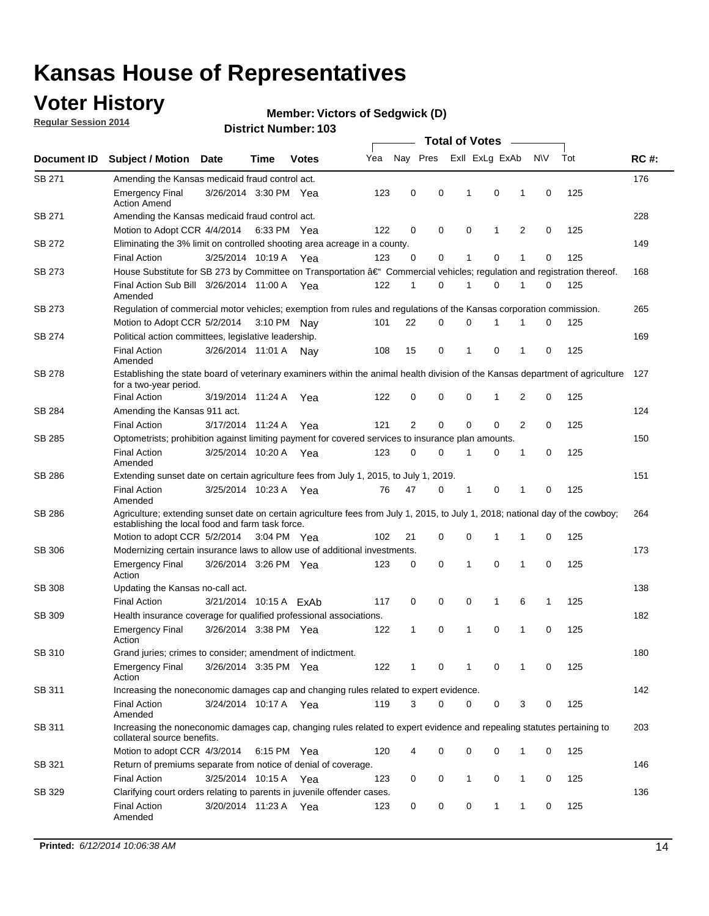### **Voter History**

**Regular Session 2014**

#### **Member: Victors of Sedgwick (D)**

|               |                                                                                                                                                                                    |                        |      |              |     |                |          | <b>Total of Votes</b> |              |   |             |     |             |
|---------------|------------------------------------------------------------------------------------------------------------------------------------------------------------------------------------|------------------------|------|--------------|-----|----------------|----------|-----------------------|--------------|---|-------------|-----|-------------|
| Document ID   | <b>Subject / Motion</b>                                                                                                                                                            | Date                   | Time | <b>Votes</b> | Yea | Nay Pres       |          | Exll ExLg ExAb        |              |   | <b>NV</b>   | Tot | <b>RC#:</b> |
| SB 271        | Amending the Kansas medicaid fraud control act.                                                                                                                                    |                        |      |              |     |                |          |                       |              |   |             |     | 176         |
|               | <b>Emergency Final</b><br><b>Action Amend</b>                                                                                                                                      | 3/26/2014 3:30 PM Yea  |      |              | 123 | 0              | 0        | 1                     | 0            | 1 | $\mathbf 0$ | 125 |             |
| SB 271        | Amending the Kansas medicaid fraud control act.                                                                                                                                    |                        |      |              |     |                |          |                       |              |   |             |     | 228         |
|               | Motion to Adopt CCR 4/4/2014 6:33 PM Yea                                                                                                                                           |                        |      |              | 122 | 0              | 0        | 0                     | 1            | 2 | 0           | 125 |             |
| SB 272        | Eliminating the 3% limit on controlled shooting area acreage in a county.                                                                                                          |                        |      |              |     |                |          |                       |              |   |             |     | 149         |
|               | <b>Final Action</b>                                                                                                                                                                | 3/25/2014 10:19 A Yea  |      |              | 123 | 0              | 0        | 1                     | 0            | 1 | $\mathbf 0$ | 125 |             |
| SB 273        | House Substitute for SB 273 by Committee on Transportation †Commercial vehicles; regulation and registration thereof.                                                              |                        |      |              |     |                |          |                       |              |   |             |     | 168         |
|               | Final Action Sub Bill 3/26/2014 11:00 A Yea<br>Amended                                                                                                                             |                        |      |              | 122 | 1              | 0        | 1                     | 0            | 1 | 0           | 125 |             |
| SB 273        | Regulation of commercial motor vehicles; exemption from rules and regulations of the Kansas corporation commission.                                                                |                        |      |              |     |                |          |                       |              |   |             |     | 265         |
|               | Motion to Adopt CCR 5/2/2014 3:10 PM Nav                                                                                                                                           |                        |      |              | 101 | 22             | 0        | 0                     | 1            | 1 | 0           | 125 |             |
| SB 274        | Political action committees, legislative leadership.                                                                                                                               |                        |      |              |     |                |          |                       |              |   |             |     | 169         |
|               | <b>Final Action</b><br>Amended                                                                                                                                                     | 3/26/2014 11:01 A Nay  |      |              | 108 | 15             | 0        | 1                     | $\mathbf 0$  | 1 | $\mathbf 0$ | 125 |             |
| SB 278        | Establishing the state board of veterinary examiners within the animal health division of the Kansas department of agriculture<br>for a two-year period.                           |                        |      |              |     |                |          |                       |              |   |             |     | 127         |
|               | <b>Final Action</b>                                                                                                                                                                | 3/19/2014 11:24 A      |      | Yea          | 122 | 0              | 0        | 0                     | $\mathbf{1}$ | 2 | 0           | 125 |             |
| SB 284        | Amending the Kansas 911 act.                                                                                                                                                       |                        |      |              |     |                |          |                       |              |   |             |     | 124         |
|               | <b>Final Action</b>                                                                                                                                                                | 3/17/2014 11:24 A      |      | Yea          | 121 | $\overline{2}$ | 0        | $\mathbf 0$           | $\mathbf 0$  | 2 | 0           | 125 |             |
| SB 285        | Optometrists; prohibition against limiting payment for covered services to insurance plan amounts.                                                                                 |                        |      |              |     |                |          |                       |              |   |             |     | 150         |
|               | <b>Final Action</b><br>Amended                                                                                                                                                     | 3/25/2014 10:20 A      |      | Yea          | 123 | 0              | 0        | 1                     | 0            | 1 | $\mathbf 0$ | 125 |             |
| SB 286        | Extending sunset date on certain agriculture fees from July 1, 2015, to July 1, 2019.                                                                                              |                        |      |              |     |                |          |                       |              |   |             |     | 151         |
|               | <b>Final Action</b><br>Amended                                                                                                                                                     | 3/25/2014 10:23 A Yea  |      |              | 76  | 47             | 0        | 1                     | 0            | 1 | $\mathbf 0$ | 125 |             |
| SB 286        | Agriculture; extending sunset date on certain agriculture fees from July 1, 2015, to July 1, 2018; national day of the cowboy;<br>establishing the local food and farm task force. |                        |      |              |     |                |          |                       |              |   |             |     | 264         |
|               | Motion to adopt CCR 5/2/2014 3:04 PM Yea                                                                                                                                           |                        |      |              | 102 | 21             | 0        | $\mathbf 0$           | 1            | 1 | 0           | 125 |             |
| SB 306        | Modernizing certain insurance laws to allow use of additional investments.                                                                                                         |                        |      |              |     |                |          |                       |              |   |             |     | 173         |
|               | <b>Emergency Final</b><br>Action                                                                                                                                                   | 3/26/2014 3:26 PM Yea  |      |              | 123 | 0              | 0        | 1                     | 0            | 1 | $\mathbf 0$ | 125 |             |
| <b>SB 308</b> | Updating the Kansas no-call act.                                                                                                                                                   |                        |      |              |     |                |          |                       |              |   |             |     | 138         |
|               | <b>Final Action</b>                                                                                                                                                                | 3/21/2014 10:15 A ExAb |      |              | 117 | 0              | 0        | 0                     | $\mathbf{1}$ | 6 | 1           | 125 |             |
| SB 309        | Health insurance coverage for qualified professional associations.                                                                                                                 |                        |      |              |     |                |          |                       |              |   |             |     | 182         |
|               | <b>Emergency Final</b><br>Action                                                                                                                                                   | 3/26/2014 3:38 PM Yea  |      |              | 122 | 1              | 0        | 1                     | 0            | 1 | $\mathbf 0$ | 125 |             |
| SB 310        | Grand juries; crimes to consider; amendment of indictment.                                                                                                                         |                        |      |              |     |                |          |                       |              |   |             |     | 180         |
|               | <b>Emergency Final</b><br>Action                                                                                                                                                   | 3/26/2014 3:35 PM Yea  |      |              | 122 | 1              | 0        | 1                     | 0            | 1 | 0           | 125 |             |
| SB 311        | Increasing the noneconomic damages cap and changing rules related to expert evidence.                                                                                              |                        |      |              |     |                |          |                       |              |   |             |     | 142         |
|               | <b>Final Action</b><br>Amended                                                                                                                                                     | 3/24/2014 10:17 A Yea  |      |              | 119 | 3              | $\Omega$ | 0                     | 0            | 3 | 0           | 125 |             |
| SB 311        | Increasing the noneconomic damages cap, changing rules related to expert evidence and repealing statutes pertaining to<br>collateral source benefits.                              |                        |      |              |     |                |          |                       |              |   |             |     | 203         |
|               | Motion to adopt CCR 4/3/2014 6:15 PM Yea                                                                                                                                           |                        |      |              | 120 |                | 0        | 0                     | 0            | 1 | 0           | 125 |             |
| SB 321        | Return of premiums separate from notice of denial of coverage.                                                                                                                     |                        |      |              |     |                |          |                       |              |   |             |     | 146         |
|               | <b>Final Action</b>                                                                                                                                                                | 3/25/2014 10:15 A Yea  |      |              | 123 | 0              | 0        | $\mathbf{1}$          | 0            | 1 | 0           | 125 |             |
| SB 329        | Clarifying court orders relating to parents in juvenile offender cases.<br><b>Final Action</b><br>Amended                                                                          | 3/20/2014 11:23 A Yea  |      |              | 123 | 0              | 0        | 0                     | $\mathbf{1}$ | 1 | 0           | 125 | 136         |
|               |                                                                                                                                                                                    |                        |      |              |     |                |          |                       |              |   |             |     |             |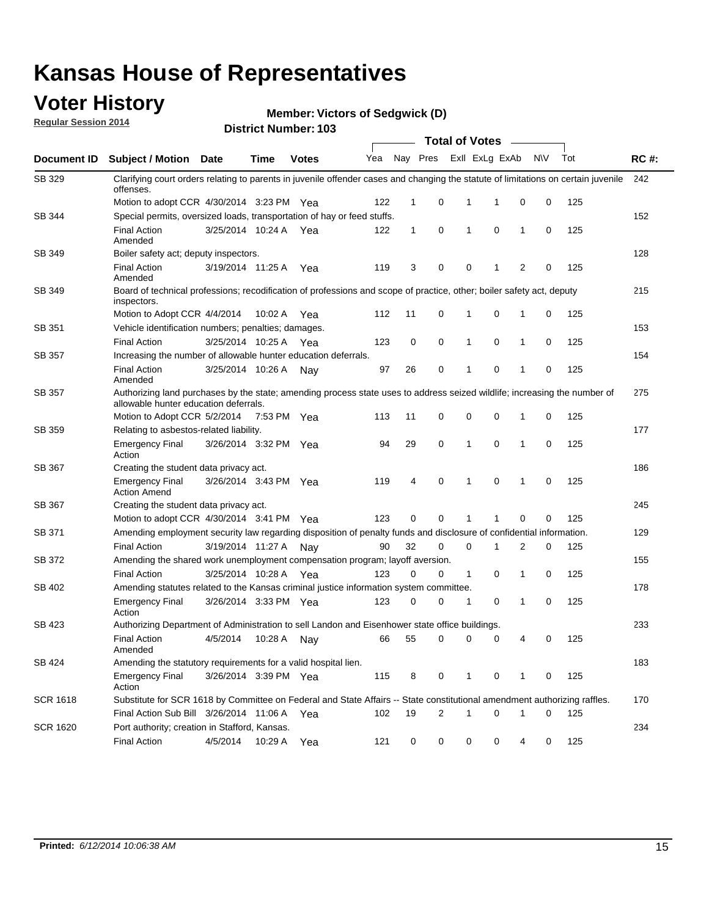### **Voter History**

**Regular Session 2014**

**Member: Victors of Sedgwick (D)** 

|                 | <b>Total of Votes</b>                                                                                                                                              |                       |             |              |     |              |                |                         |             |   |             |     |             |
|-----------------|--------------------------------------------------------------------------------------------------------------------------------------------------------------------|-----------------------|-------------|--------------|-----|--------------|----------------|-------------------------|-------------|---|-------------|-----|-------------|
| Document ID     | <b>Subject / Motion</b>                                                                                                                                            | <b>Date</b>           | Time        | <b>Votes</b> | Yea |              |                | Nay Pres Exll ExLg ExAb |             |   | <b>NV</b>   | Tot | <b>RC#:</b> |
| SB 329          | Clarifying court orders relating to parents in juvenile offender cases and changing the statute of limitations on certain juvenile<br>offenses.                    |                       |             |              |     |              |                |                         |             |   |             |     | 242         |
|                 | Motion to adopt CCR 4/30/2014 3:23 PM Yea                                                                                                                          |                       |             |              | 122 | 1            | 0              | 1                       | 1           | 0 | 0           | 125 |             |
| SB 344          | Special permits, oversized loads, transportation of hay or feed stuffs.                                                                                            |                       |             |              |     |              |                |                         |             |   |             |     | 152         |
|                 | <b>Final Action</b><br>Amended                                                                                                                                     | 3/25/2014 10:24 A     |             | Yea          | 122 | $\mathbf{1}$ | $\mathbf 0$    | 1                       | $\mathbf 0$ | 1 | 0           | 125 |             |
| SB 349          | Boiler safety act; deputy inspectors.                                                                                                                              |                       |             |              |     |              |                |                         |             |   |             |     | 128         |
|                 | <b>Final Action</b><br>Amended                                                                                                                                     | 3/19/2014 11:25 A     |             | Yea          | 119 | 3            | 0              | $\mathbf 0$             | 1           | 2 | 0           | 125 |             |
| SB 349          | Board of technical professions; recodification of professions and scope of practice, other; boiler safety act, deputy<br>inspectors.                               |                       |             |              |     |              |                |                         |             |   |             |     | 215         |
|                 | Motion to Adopt CCR 4/4/2014                                                                                                                                       |                       | 10:02 A     | Yea          | 112 | 11           | 0              | 1                       | 0           | 1 | 0           | 125 |             |
| SB 351          | Vehicle identification numbers; penalties; damages.                                                                                                                |                       |             |              |     |              |                |                         |             |   |             |     | 153         |
|                 | <b>Final Action</b>                                                                                                                                                | 3/25/2014 10:25 A     |             | Yea          | 123 | 0            | 0              | 1                       | $\mathbf 0$ | 1 | 0           | 125 |             |
| SB 357          | Increasing the number of allowable hunter education deferrals.                                                                                                     |                       |             |              |     |              |                |                         |             |   |             |     | 154         |
|                 | <b>Final Action</b><br>Amended                                                                                                                                     | 3/25/2014 10:26 A     |             | Nav          | 97  | 26           | 0              | 1                       | 0           | 1 | 0           | 125 |             |
| SB 357          | Authorizing land purchases by the state; amending process state uses to address seized wildlife; increasing the number of<br>allowable hunter education deferrals. |                       |             |              |     |              |                |                         |             |   |             |     | 275         |
|                 | Motion to Adopt CCR 5/2/2014                                                                                                                                       |                       | 7:53 PM Yea |              | 113 | 11           | 0              | $\mathbf 0$             | $\mathbf 0$ | 1 | 0           | 125 |             |
| SB 359          | Relating to asbestos-related liability.                                                                                                                            |                       |             |              |     |              |                |                         |             |   |             |     | 177         |
|                 | <b>Emergency Final</b><br>Action                                                                                                                                   | 3/26/2014 3:32 PM Yea |             |              | 94  | 29           | 0              | 1                       | $\mathbf 0$ | 1 | 0           | 125 |             |
| SB 367          | Creating the student data privacy act.                                                                                                                             |                       |             |              |     |              |                |                         |             |   |             |     | 186         |
|                 | <b>Emergency Final</b><br><b>Action Amend</b>                                                                                                                      | 3/26/2014 3:43 PM Yea |             |              | 119 | 4            | 0              | 1                       | $\Omega$    | 1 | $\mathbf 0$ | 125 |             |
| SB 367          | Creating the student data privacy act.                                                                                                                             |                       |             |              |     |              |                |                         |             |   |             |     | 245         |
|                 | Motion to adopt CCR 4/30/2014 3:41 PM Yea                                                                                                                          |                       |             |              | 123 | 0            | $\mathbf 0$    | 1                       | 1           | 0 | 0           | 125 |             |
| SB 371          | Amending employment security law regarding disposition of penalty funds and disclosure of confidential information.                                                |                       |             |              |     |              |                |                         |             |   |             |     | 129         |
|                 | <b>Final Action</b>                                                                                                                                                | 3/19/2014 11:27 A Nay |             |              | 90  | 32           | 0              | 0                       | 1           | 2 | 0           | 125 |             |
| SB 372          | Amending the shared work unemployment compensation program; layoff aversion.                                                                                       |                       |             |              |     |              |                |                         |             |   |             |     | 155         |
|                 | <b>Final Action</b>                                                                                                                                                | 3/25/2014 10:28 A     |             | Yea          | 123 | 0            | 0              | 1                       | 0           | 1 | 0           | 125 |             |
| SB 402          | Amending statutes related to the Kansas criminal justice information system committee.                                                                             |                       |             |              |     |              |                |                         |             |   |             |     | 178         |
|                 | <b>Emergency Final</b><br>Action                                                                                                                                   | 3/26/2014 3:33 PM Yea |             |              | 123 | 0            | 0              | 1                       | 0           | 1 | 0           | 125 |             |
| SB 423          | Authorizing Department of Administration to sell Landon and Eisenhower state office buildings.                                                                     |                       |             |              |     |              |                |                         |             |   |             |     | 233         |
|                 | <b>Final Action</b><br>Amended                                                                                                                                     | 4/5/2014              | 10:28 A     | Nav          | 66  | 55           | 0              | 0                       | 0           | 4 | 0           | 125 |             |
| SB 424          | Amending the statutory requirements for a valid hospital lien.                                                                                                     |                       |             |              |     |              |                |                         |             |   |             |     | 183         |
|                 | Emergency Final<br>Action                                                                                                                                          | 3/26/2014 3:39 PM Yea |             |              | 115 | 8            | 0              | $\mathbf{1}$            | 0           | 1 | 0           | 125 |             |
| <b>SCR 1618</b> | Substitute for SCR 1618 by Committee on Federal and State Affairs -- State constitutional amendment authorizing raffles.                                           |                       |             |              |     |              |                |                         |             |   |             |     | 170         |
|                 | Final Action Sub Bill 3/26/2014 11:06 A Yea                                                                                                                        |                       |             |              | 102 | 19           | $\overline{2}$ | 1                       | $\mathbf 0$ | 1 | 0           | 125 |             |
| <b>SCR 1620</b> | Port authority; creation in Stafford, Kansas.                                                                                                                      |                       |             |              |     |              |                |                         |             |   |             |     | 234         |
|                 | <b>Final Action</b>                                                                                                                                                | 4/5/2014              | 10:29 A     | Yea          | 121 | 0            | 0              | 0                       | 0           | 4 | 0           | 125 |             |